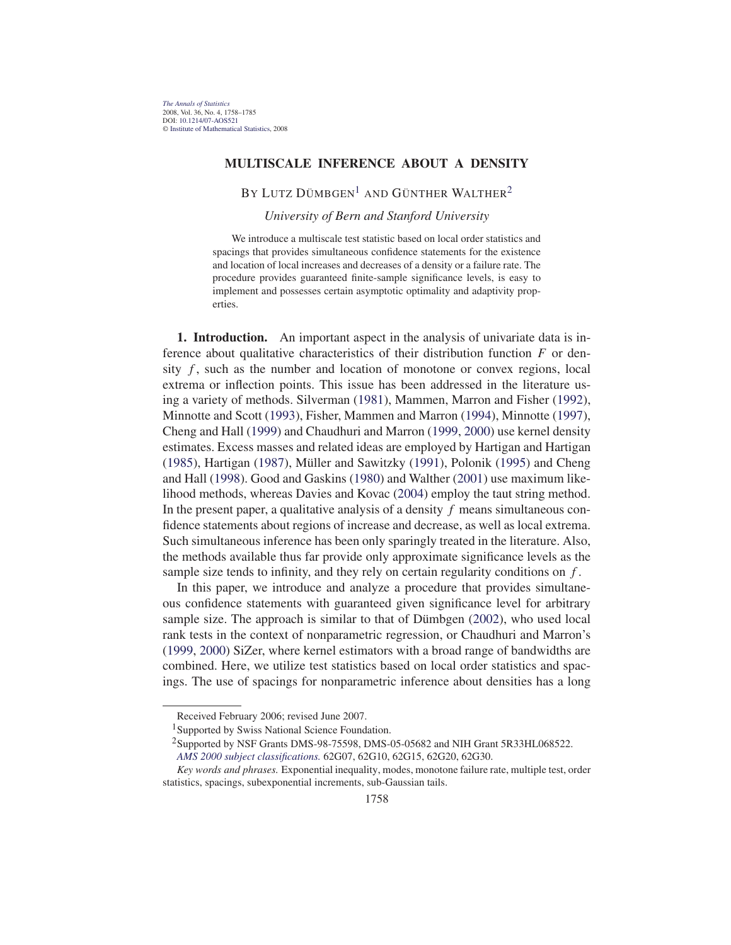## **MULTISCALE INFERENCE ABOUT A DENSITY**

BY LUTZ DÜMBGEN<sup>1</sup> AND GÜNTHER WALTHER<sup>2</sup>

*University of Bern and Stanford University*

We introduce a multiscale test statistic based on local order statistics and spacings that provides simultaneous confidence statements for the existence and location of local increases and decreases of a density or a failure rate. The procedure provides guaranteed finite-sample significance levels, is easy to implement and possesses certain asymptotic optimality and adaptivity properties.

**1. Introduction.** An important aspect in the analysis of univariate data is inference about qualitative characteristics of their distribution function  $F$  or density  $f$ , such as the number and location of monotone or convex regions, local extrema or inflection points. This issue has been addressed in the literature using a variety of methods. Silverman (1981), Mammen, Marron and Fisher (1992), Minnotte and Scott (1993), Fisher, Mammen and Marron (1994), Minnotte (1997), Cheng and Hall (1999) and Chaudhuri and Marron (1999, 2000) use kernel density estimates. Excess masses and related ideas are employed by Hartigan and Hartigan (1985), Hartigan (1987), Müller and Sawitzky (1991), Polonik (1995) and Cheng and Hall (1998). Good and Gaskins (1980) and Walther (2001) use maximum likelihood methods, whereas Davies and Kovac (2004) employ the taut string method. In the present paper, a qualitative analysis of a density  $f$  means simultaneous confidence statements about regions of increase and decrease, as well as local extrema. Such simultaneous inference has been only sparingly treated in the literature. Also, the methods available thus far provide only approximate significance levels as the sample size tends to infinity, and they rely on certain regularity conditions on  $f$ .

In this paper, we introduce and analyze a procedure that provides simultaneous confidence statements with guaranteed given significance level for arbitrary sample size. The approach is similar to that of Dümbgen (2002), who used local rank tests in the context of nonparametric regression, or Chaudhuri and Marron's (1999, 2000) SiZer, where kernel estimators with a broad range of bandwidths are combined. Here, we utilize test statistics based on local order statistics and spacings. The use of spacings for nonparametric inference about densities has a long

Received February 2006; revised June 2007.

<sup>&</sup>lt;sup>1</sup>Supported by Swiss National Science Foundation.

<sup>2</sup>Supported by NSF Grants DMS-98-75598, DMS-05-05682 and NIH Grant 5R33HL068522.

*AMS 2000 subject classifications.* 62G07, 62G10, 62G15, 62G20, 62G30.

*Key words and phrases.* Exponential inequality, modes, monotone failure rate, multiple test, order statistics, spacings, subexponential increments, sub-Gaussian tails.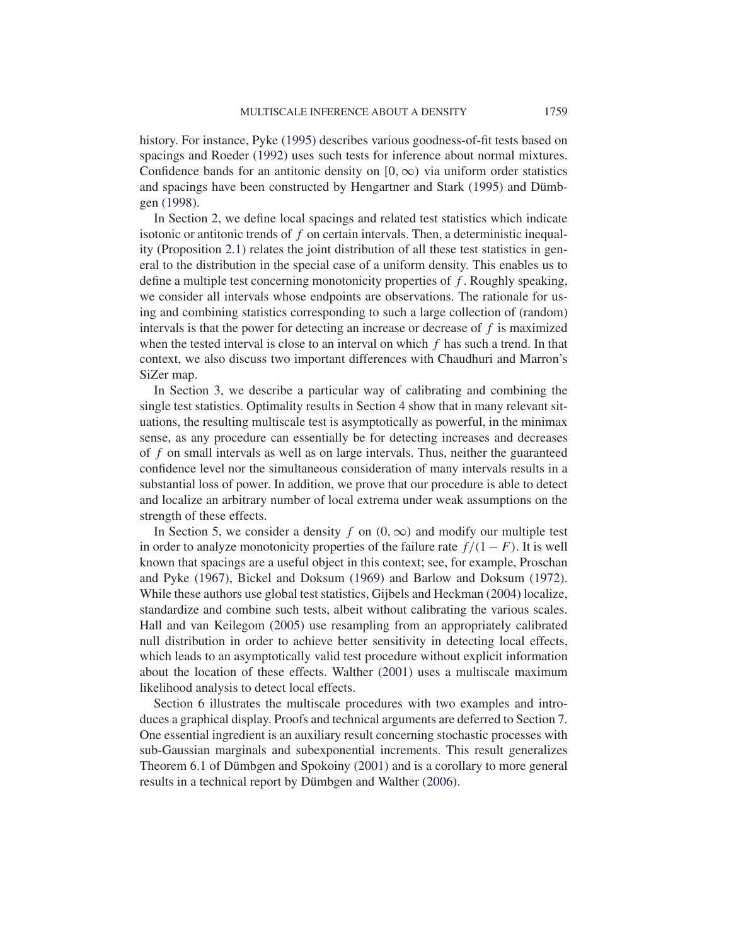history. For instance, Pyke (1995) describes various goodness-of-fit tests based on spacings and Roeder (1992) uses such tests for inference about normal mixtures. Confidence bands for an antitonic density on [0,  $\infty$ ) via uniform order statistics and spacings have been constructed by Hengartner and Stark (1995) and Dümbgen (1998).

In Section 2, we define local spacings and related test statistics which indicate isotonic or antitonic trends of  $f$  on certain intervals. Then, a deterministic inequality (Proposition 2.1) relates the joint distribution of all these test statistics in general to the distribution in the special case of a uniform density. This enables us to define a multiple test concerning monotonicity properties of  $f$ . Roughly speaking, we consider all intervals whose endpoints are observations. The rationale for using and combining statistics corresponding to such a large collection of (random) intervals is that the power for detecting an increase or decrease of  $f$  is maximized when the tested interval is close to an interval on which  $f$  has such a trend. In that context, we also discuss two important differences with Chaudhuri and Marron's SiZer map.

In Section 3, we describe a particular way of calibrating and combining the single test statistics. Optimality results in Section 4 show that in many relevant situations, the resulting multiscale test is asymptotically as powerful, in the minimax sense, as any procedure can essentially be for detecting increases and decreases of  $f$  on small intervals as well as on large intervals. Thus, neither the guaranteed confidence level nor the simultaneous consideration of many intervals results in a substantial loss of power. In addition, we prove that our procedure is able to detect and localize an arbitrary number of local extrema under weak assumptions on the strength of these effects.

In Section 5, we consider a density f on  $(0, \infty)$  and modify our multiple test in order to analyze monotonicity properties of the failure rate  $f/(1 - F)$ . It is well known that spacings are a useful object in this context; see, for example, Proschan and Pyke (1967), Bickel and Doksum (1969) and Barlow and Doksum (1972). While these authors use global test statistics, Gijbels and Heckman (2004) localize, standardize and combine such tests, albeit without calibrating the various scales. Hall and van Keilegom (2005) use resampling from an appropriately calibrated null distribution in order to achieve better sensitivity in detecting local effects, which leads to an asymptotically valid test procedure without explicit information about the location of these effects. Walther (2001) uses a multiscale maximum likelihood analysis to detect local effects.

Section 6 illustrates the multiscale procedures with two examples and introduces a graphical display. Proofs and technical arguments are deferred to Section 7. One essential ingredient is an auxiliary result concerning stochastic processes with sub-Gaussian marginals and subexponential increments. This result generalizes Theorem 6.1 of Dümbgen and Spokoiny (2001) and is a corollary to more general results in a technical report by Dümbgen and Walther (2006).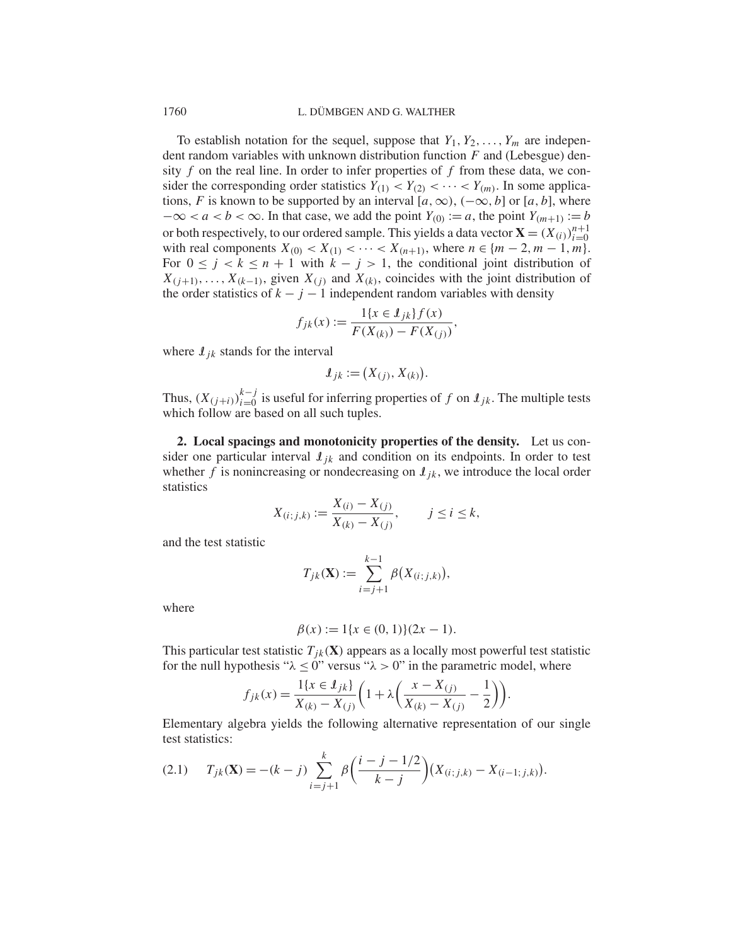## 1760 L. DÜMBGEN AND G. WALTHER

To establish notation for the sequel, suppose that  $Y_1, Y_2, \ldots, Y_m$  are independent random variables with unknown distribution function  $F$  and (Lebesgue) density  $f$  on the real line. In order to infer properties of  $f$  from these data, we consider the corresponding order statistics  $Y_{(1)} < Y_{(2)} < \cdots < Y_{(m)}$ . In some applications, F is known to be supported by an interval [a,  $\infty$ ),  $(-\infty, b]$  or [a, b], where  $-\infty < a < b < \infty$ . In that case, we add the point  $Y_{(0)} := a$ , the point  $Y_{(m+1)} := b$ or both respectively, to our ordered sample. This yields a data vector  $\mathbf{X} = (X_{(i)})_{i=0}^{n+1}$  $i=0$ with real components  $X_{(0)} < X_{(1)} < \cdots < X_{(n+1)}$ , where  $n \in \{m-2, m-1, m\}$ . For  $0 \le j < k \le n + 1$  with  $k - j > 1$ , the conditional joint distribution of  $X_{(j+1)},\ldots,X_{(k-1)}$ , given  $X_{(j)}$  and  $X_{(k)}$ , coincides with the joint distribution of the order statistics of  $k - j - 1$  independent random variables with density

$$
f_{jk}(x) := \frac{1\{x \in \mathcal{I}_{jk}\}f(x)}{F(X_{(k)}) - F(X_{(j)})},
$$

where  $I_{ik}$  stands for the interval

$$
\mathcal{I}_{jk} := (X_{(j)}, X_{(k)}).
$$

Thus,  $(X_{(j+i)})_{i=0}^{k-j}$  is useful for inferring properties of f on  $\mathcal{I}_{jk}$ . The multiple tests which follow are based on all such tuples.

**2. Local spacings and monotonicity properties of the density.** Let us consider one particular interval  $\mathcal{I}_{ik}$  and condition on its endpoints. In order to test whether f is nonincreasing or nondecreasing on  $\mathcal{L}_{ik}$ , we introduce the local order statistics

$$
X_{(i;j,k)} := \frac{X_{(i)} - X_{(j)}}{X_{(k)} - X_{(j)}}, \qquad j \le i \le k,
$$

and the test statistic

$$
T_{jk}(\mathbf{X}) := \sum_{i=j+1}^{k-1} \beta(X_{(i;j,k)}),
$$

where

$$
\beta(x) := 1\{x \in (0, 1)\}(2x - 1).
$$

This particular test statistic  $T_{ik}(\mathbf{X})$  appears as a locally most powerful test statistic for the null hypothesis " $\lambda \leq 0$ " versus " $\lambda > 0$ " in the parametric model, where

$$
f_{jk}(x) = \frac{1\{x \in I_{jk}\}}{X_{(k)} - X_{(j)}} \bigg(1 + \lambda \bigg(\frac{x - X_{(j)}}{X_{(k)} - X_{(j)}} - \frac{1}{2}\bigg)\bigg).
$$

Elementary algebra yields the following alternative representation of our single test statistics:

$$
(2.1) \t T_{jk}(\mathbf{X}) = -(k-j) \sum_{i=j+1}^{k} \beta \left( \frac{i-j-1/2}{k-j} \right) (X_{(i;j,k)} - X_{(i-1;j,k)}).
$$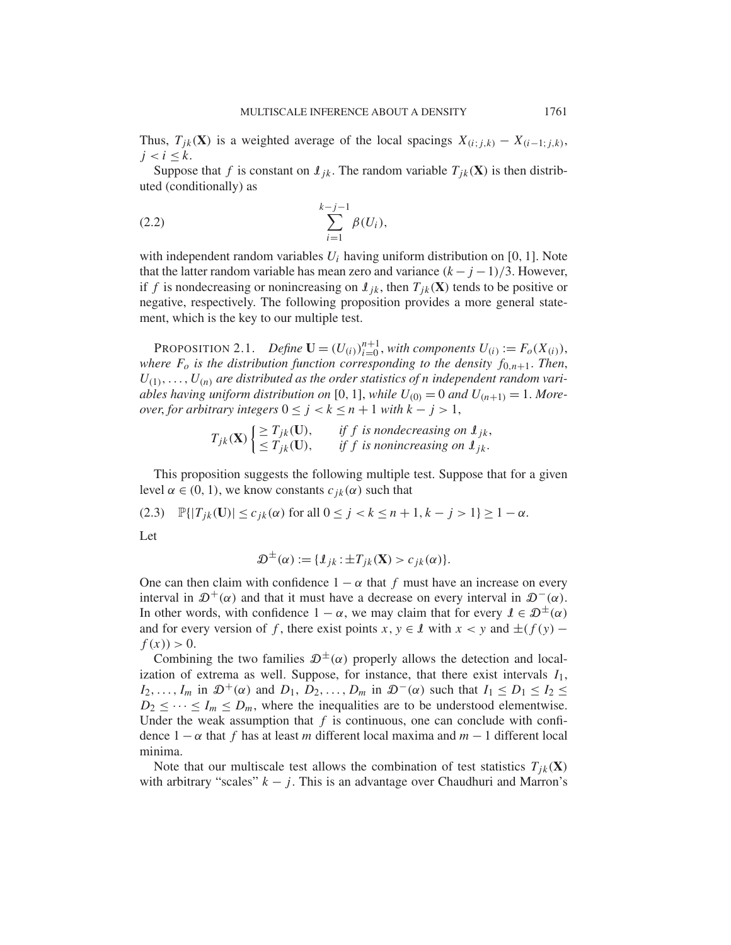Thus,  $T_{jk}(\mathbf{X})$  is a weighted average of the local spacings  $X_{(i;j,k)} - X_{(i-1;j,k)}$ ,  $j < i \leq k$ .

Suppose that f is constant on  $\mathcal{L}_{ik}$ . The random variable  $T_{ik}(\mathbf{X})$  is then distributed (conditionally) as

(2.2) 
$$
\sum_{i=1}^{k-j-1} \beta(U_i),
$$

with independent random variables  $U_i$  having uniform distribution on [0, 1]. Note that the latter random variable has mean zero and variance  $(k - j - 1)/3$ . However, if f is nondecreasing or nonincreasing on  $\mathcal{L}_{ik}$ , then  $T_{ik}(\mathbf{X})$  tends to be positive or negative, respectively. The following proposition provides a more general statement, which is the key to our multiple test.

**PROPOSITION 2.1.** *Define*  $\mathbf{U} = (U_{(i)})_{i=0}^{n+1}$ , *with components*  $U_{(i)} := F_o(X_{(i)})$ , *where*  $F_o$  *is the distribution function corresponding to the density*  $f_{0,n+1}$ *. Then,*  $U_{(1)},\ldots,U_{(n)}$  are distributed as the order statistics of *n* independent random vari*ables having uniform distribution on* [0, 1], *while*  $U_{(0)} = 0$  *and*  $U_{(n+1)} = 1$ *. Moreover, for arbitrary integers*  $0 \le j < k \le n + 1$  *with*  $k - j > 1$ ,

$$
T_{jk}(\mathbf{X})\begin{cases} \geq T_{jk}(\mathbf{U}), & \text{if } f \text{ is nondecreasing on } \mathbf{I}_{jk}, \\ \leq T_{jk}(\mathbf{U}), & \text{if } f \text{ is nonincreasing on } \mathbf{I}_{jk}. \end{cases}
$$

This proposition suggests the following multiple test. Suppose that for a given level  $\alpha \in (0, 1)$ , we know constants  $c_{ik}(\alpha)$  such that

(2.3) 
$$
\mathbb{P}\{|T_{jk}(\mathbf{U})| \leq c_{jk}(\alpha) \text{ for all } 0 \leq j < k \leq n+1, k-j > 1\} \geq 1-\alpha.
$$

Let

$$
\mathcal{D}^{\pm}(\alpha) := \{ \mathcal{I}_{jk} : \pm T_{jk}(\mathbf{X}) > c_{jk}(\alpha) \}.
$$

One can then claim with confidence  $1 - \alpha$  that f must have an increase on every interval in  $\mathcal{D}^+(\alpha)$  and that it must have a decrease on every interval in  $\mathcal{D}^-(\alpha)$ . In other words, with confidence  $1 - \alpha$ , we may claim that for every  $\ell \in \mathcal{D}^{\pm}(\alpha)$ and for every version of f, there exist points x,  $y \in \mathcal{I}$  with  $x < y$  and  $\pm(f(y)$  $f(x) > 0.$ 

Combining the two families  $\mathcal{D}^{\pm}(\alpha)$  properly allows the detection and localization of extrema as well. Suppose, for instance, that there exist intervals  $I_1$ ,  $I_2, \ldots, I_m$  in  $\mathcal{D}^+(\alpha)$  and  $D_1, D_2, \ldots, D_m$  in  $\mathcal{D}^-(\alpha)$  such that  $I_1 \leq D_1 \leq I_2 \leq I_3$  $D_2 \leq \cdots \leq I_m \leq D_m$ , where the inequalities are to be understood elementwise. Under the weak assumption that  $f$  is continuous, one can conclude with confidence  $1 - \alpha$  that f has at least m different local maxima and  $m - 1$  different local minima.

Note that our multiscale test allows the combination of test statistics  $T_{jk}(\mathbf{X})$ with arbitrary "scales"  $k - j$ . This is an advantage over Chaudhuri and Marron's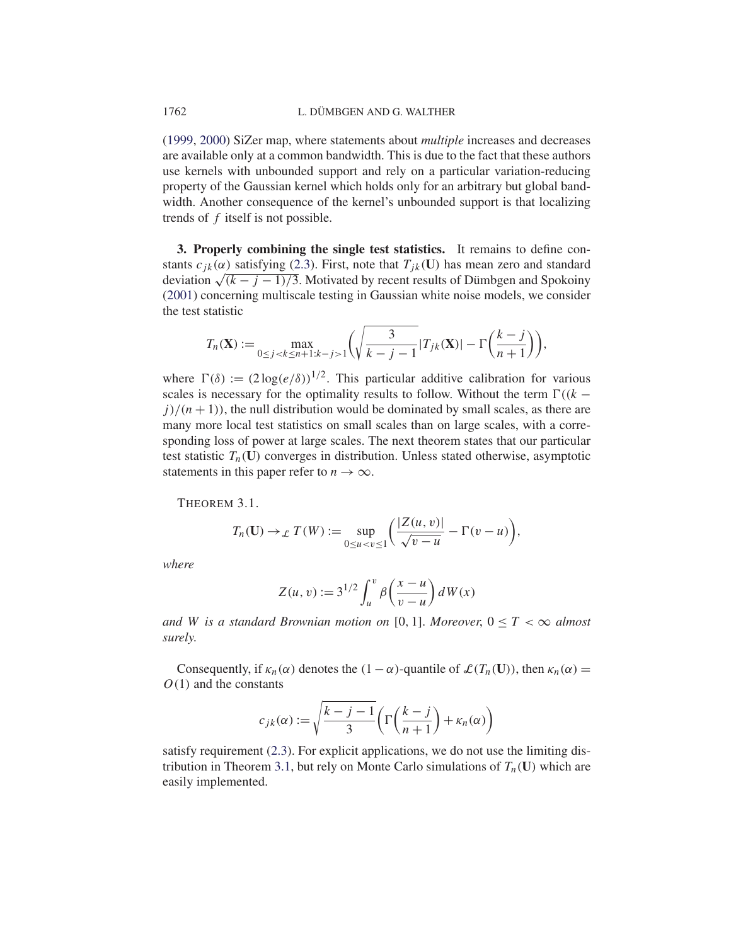(1999, 2000) SiZer map, where statements about *multiple* increases and decreases are available only at a common bandwidth. This is due to the fact that these authors use kernels with unbounded support and rely on a particular variation-reducing property of the Gaussian kernel which holds only for an arbitrary but global bandwidth. Another consequence of the kernel's unbounded support is that localizing trends of f itself is not possible.

**3. Properly combining the single test statistics.** It remains to define constants  $c_{jk}(\alpha)$  satisfying (2.3). First, note that  $T_{jk}(\mathbf{U})$  has mean zero and standard deviation  $\sqrt{(k-j-1)/3}$ . Motivated by recent results of Dümbgen and Spokoiny (2001) concerning multiscale testing in Gaussian white noise models, we consider the test statistic

$$
T_n(\mathbf{X}) := \max_{0 \le j < k \le n+1: k-j > 1} \left( \sqrt{\frac{3}{k-j-1}} |T_{jk}(\mathbf{X})| - \Gamma\left(\frac{k-j}{n+1}\right) \right),
$$

where  $\Gamma(\delta) := (2\log(e/\delta))^{1/2}$ . This particular additive calibration for various scales is necessary for the optimality results to follow. Without the term  $\Gamma((k$  $j/(n+1)$ , the null distribution would be dominated by small scales, as there are many more local test statistics on small scales than on large scales, with a corresponding loss of power at large scales. The next theorem states that our particular test statistic  $T_n(\mathbf{U})$  converges in distribution. Unless stated otherwise, asymptotic statements in this paper refer to  $n \to \infty$ .

THEOREM 3.1.

$$
T_n(\mathbf{U}) \to \mathcal{L} \; T(W) := \sup_{0 \le u < v \le 1} \left( \frac{|Z(u, v)|}{\sqrt{v - u}} - \Gamma(v - u) \right),
$$

*where*

$$
Z(u, v) := 3^{1/2} \int_u^v \beta\left(\frac{x - u}{v - u}\right) dW(x)
$$

and W is a standard Brownian motion on [0, 1]. Moreover,  $0 \le T < \infty$  almost *surely*.

Consequently, if  $\kappa_n(\alpha)$  denotes the  $(1-\alpha)$ -quantile of  $\mathcal{L}(T_n(\mathbf{U}))$ , then  $\kappa_n(\alpha)$  =  $O(1)$  and the constants

$$
c_{jk}(\alpha) := \sqrt{\frac{k-j-1}{3}} \left( \Gamma\left(\frac{k-j}{n+1}\right) + \kappa_n(\alpha) \right)
$$

satisfy requirement (2.3). For explicit applications, we do not use the limiting distribution in Theorem 3.1, but rely on Monte Carlo simulations of  $T_n(\mathbf{U})$  which are easily implemented.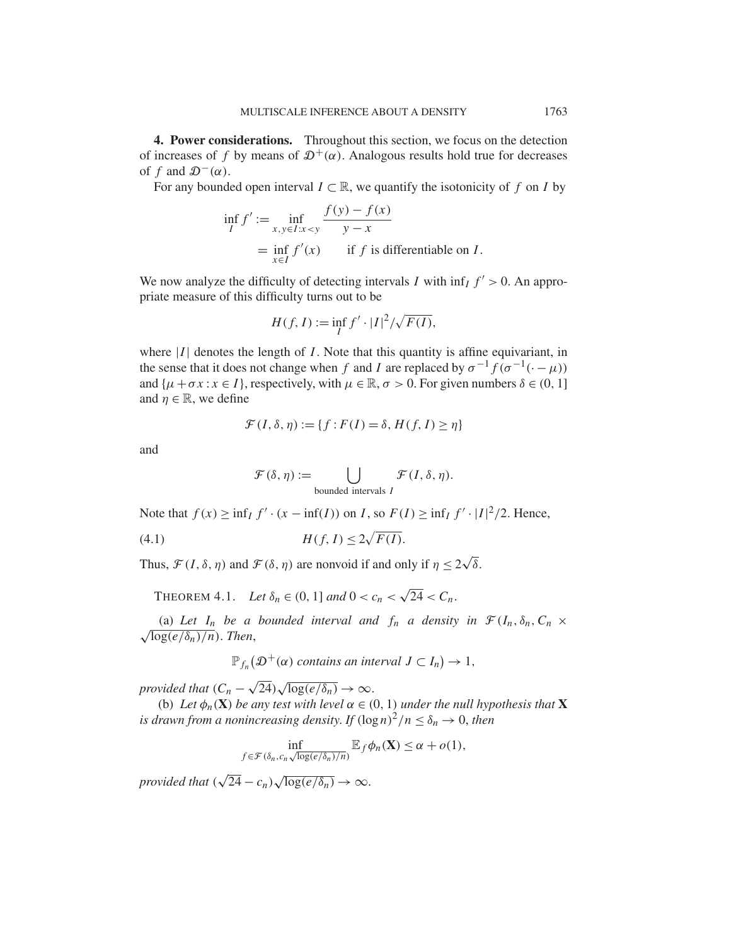**4. Power considerations.** Throughout this section, we focus on the detection of increases of f by means of  $\mathcal{D}^+(\alpha)$ . Analogous results hold true for decreases of f and  $\mathcal{D}^-(\alpha)$ .

For any bounded open interval  $I \subset \mathbb{R}$ , we quantify the isotonicity of f on I by

$$
\inf_{I} f' := \inf_{x, y \in I: x < y} \frac{f(y) - f(x)}{y - x}
$$
\n
$$
= \inf_{x \in I} f'(x) \quad \text{if } f \text{ is differentiable on } I.
$$

We now analyze the difficulty of detecting intervals I with  $\inf_I f' > 0$ . An appropriate measure of this difficulty turns out to be

$$
H(f, I) := \inf_{I} f' \cdot |I|^2 / \sqrt{F(I)},
$$

where  $|I|$  denotes the length of I. Note that this quantity is affine equivariant, in the sense that it does not change when f and I are replaced by  $\sigma^{-1}f(\sigma^{-1}(\cdot-\mu))$ and  $\{\mu + \sigma x : x \in I\}$ , respectively, with  $\mu \in \mathbb{R}, \sigma > 0$ . For given numbers  $\delta \in (0, 1]$ and  $\eta \in \mathbb{R}$ , we define

$$
\mathcal{F}(I,\delta,\eta) := \{f : F(I) = \delta, H(f,I) \ge \eta\}
$$

and

$$
\mathcal{F}(\delta,\eta) := \bigcup_{\text{bounded intervals }I} \mathcal{F}(I,\delta,\eta).
$$

Note that  $f(x) \ge \inf_I f' \cdot (x - \inf(I))$  on *I*, so  $F(I) \ge \inf_I f' \cdot |I|^2/2$ . Hence,

H (f, I ) ≤ 2 (4.1) F (I ).

Thus,  $\mathcal{F}(I, \delta, \eta)$  and  $\mathcal{F}(\delta, \eta)$  are nonvoid if and only if  $\eta \leq 2\sqrt{\delta}$ .

THEOREM 4.1. *Let*  $\delta_n \in (0, 1]$  *and*  $0 < c_n < \sqrt{24} < C_n$ .

(a) Let  $I_n$  be a bounded interval and  $f_n$  a density in  $\mathcal{F}(I_n, \delta_n, C_n \times$  $\sqrt{\log(e/\delta_n)/n}$ . *Then*,

 $\mathbb{P}_{f_n}(\mathcal{D}^+(\alpha)$  contains an interval  $J\subset I_n\big)\to 1$ ,

*provided that*  $(C_n - \sqrt{24})\sqrt{\log(e/\delta_n)} \to \infty$ .

(b) Let  $\phi_n(\mathbf{X})$  be any test with level  $\alpha \in (0, 1)$  under the null hypothesis that **X** *is drawn from a nonincreasing density. If*  $(\log n)^2/n \leq \delta_n \to 0$ , *then* 

$$
\inf_{f \in \mathcal{F}(\delta_n, c_n \sqrt{\log(e/\delta_n)/n})} \mathbb{E}_f \phi_n(\mathbf{X}) \le \alpha + o(1),
$$

*provided that*  $(\sqrt{24} - c_n)\sqrt{\log(e/\delta_n)} \rightarrow \infty$ .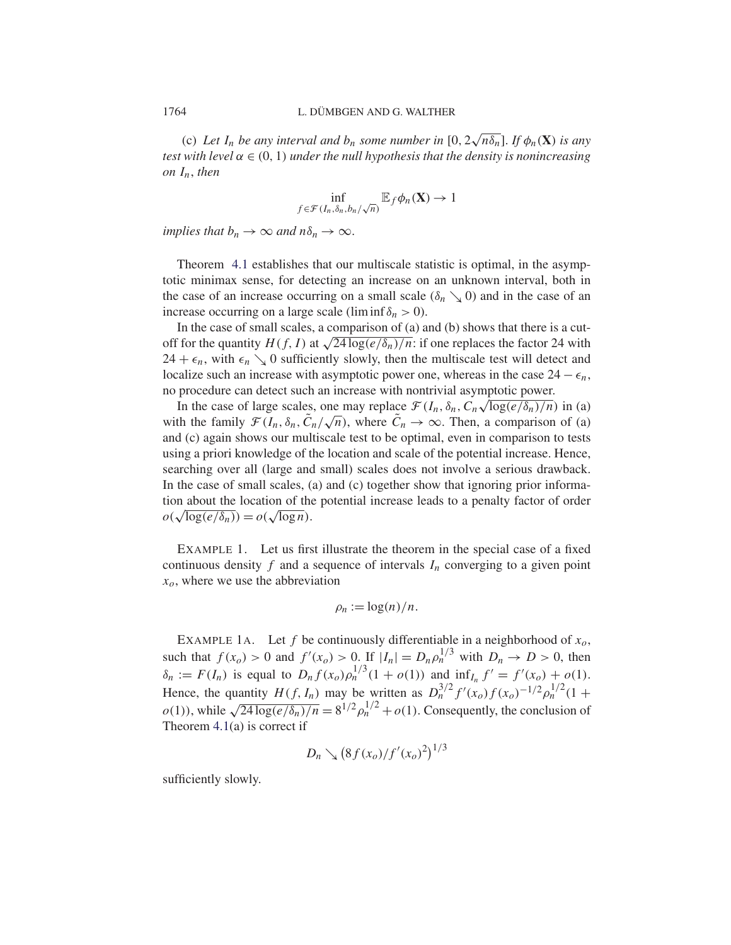(c) Let  $I_n$  be any interval and  $b_n$  some number in  $[0, 2\sqrt{n\delta_n}]$ . If  $\phi_n(\mathbf{X})$  is any *test with level*  $\alpha \in (0, 1)$  *under the null hypothesis that the density is nonincreasing on* In, *then*

$$
\inf_{f \in \mathcal{F}(I_n, \delta_n, b_n/\sqrt{n})} \mathbb{E}_f \phi_n(\mathbf{X}) \to 1
$$

*implies that*  $b_n \to \infty$  *and*  $n\delta_n \to \infty$ .

Theorem 4.1 establishes that our multiscale statistic is optimal, in the asymptotic minimax sense, for detecting an increase on an unknown interval, both in the case of an increase occurring on a small scale  $(\delta_n \searrow 0)$  and in the case of an increase occurring on a large scale (lim inf  $\delta_n > 0$ ).

In the case of small scales, a comparison of (a) and (b) shows that there is a cutoff for the quantity  $H(f, I)$  at  $\sqrt{24 \log(e/\delta_n)/n}$ : if one replaces the factor 24 with  $24 + \epsilon_n$ , with  $\epsilon_n \searrow 0$  sufficiently slowly, then the multiscale test will detect and localize such an increase with asymptotic power one, whereas in the case  $24 - \epsilon_n$ , no procedure can detect such an increase with nontrivial asymptotic power.

procedure can detect such an increase with hontrivial asymptotic power.<br>In the case of large scales, one may replace  $\mathcal{F}(I_n, \delta_n, C_n \sqrt{\log(e/\delta_n)/n})$  in (a) In the case of large scales, one may replace  $\mathcal{F}(I_n, o_n, C_n \sqrt{\log(e/o_n)/n})$  in (a)<br>with the family  $\mathcal{F}(I_n, \delta_n, \tilde{C}_n/\sqrt{n})$ , where  $\tilde{C}_n \to \infty$ . Then, a comparison of (a) and (c) again shows our multiscale test to be optimal, even in comparison to tests using a priori knowledge of the location and scale of the potential increase. Hence, searching over all (large and small) scales does not involve a serious drawback. In the case of small scales, (a) and (c) together show that ignoring prior information about the location of the potential increase leads to a penalty factor of order  $o(\sqrt{\log(e/\delta_n)}) = o(\sqrt{\log n}).$ 

EXAMPLE 1. Let us first illustrate the theorem in the special case of a fixed continuous density f and a sequence of intervals  $I_n$  converging to a given point  $x<sub>o</sub>$ , where we use the abbreviation

$$
\rho_n := \log(n)/n.
$$

EXAMPLE 1A. Let f be continuously differentiable in a neighborhood of  $x_0$ , such that  $f(x_0) > 0$  and  $f'(x_0) > 0$ . If  $|I_n| = D_n \rho_n^{1/3}$  with  $D_n \to D > 0$ , then  $\delta_n := F(I_n)$  is equal to  $D_n f(x_0) \rho_n^{1/3} (1 + o(1))$  and  $\inf_{I_n} f' = f'(x_0) + o(1)$ . Hence, the quantity  $H(f, I_n)$  may be written as  $D_n^{3/2} f'(x_0) f(x_0)^{-1/2} \rho_n^{1/2} (1 +$  $o(1)$ , while  $\sqrt{24 \log(e/\delta_n)/n} = 8^{1/2} \rho_n^{1/2} + o(1)$ . Consequently, the conclusion of Theorem 4.1(a) is correct if

$$
D_n \searrow (8f(x_o)/f'(x_o)^2)^{1/3}
$$

sufficiently slowly.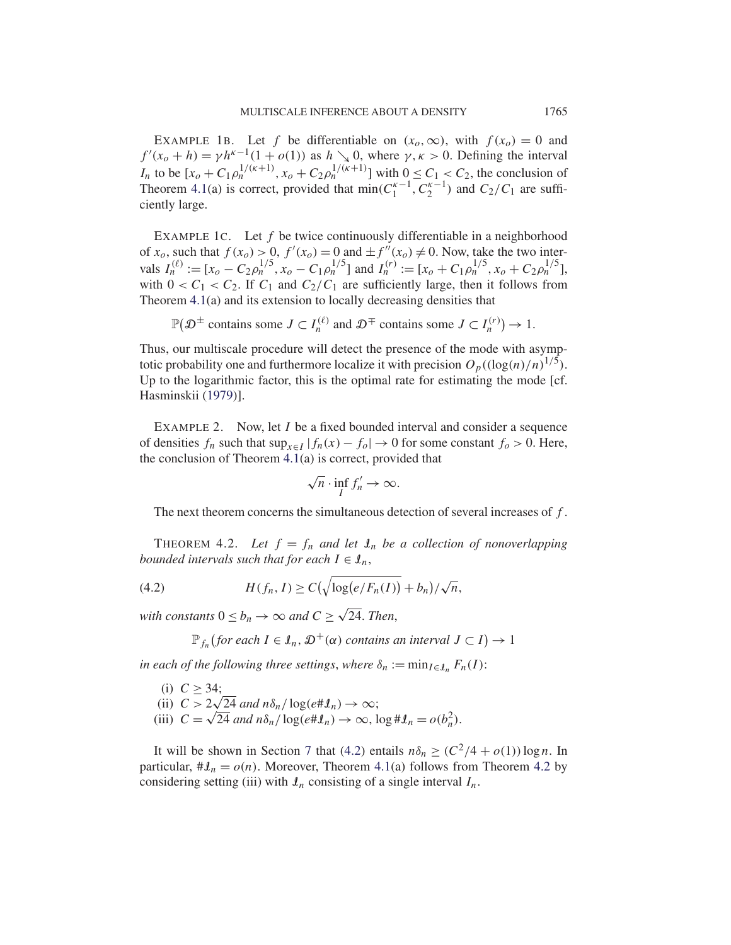EXAMPLE 1B. Let f be differentiable on  $(x_0, \infty)$ , with  $f(x_0) = 0$  and  $f'(x_0 + h) = \gamma h^{\kappa - 1}(1 + o(1))$  as  $h \searrow 0$ , where  $\gamma, \kappa > 0$ . Defining the interval *I<sub>n</sub>* to be  $[x_0 + C_1 \rho_n^{1/(\kappa+1)}, x_0 + C_2 \rho_n^{1/(\kappa+1)}]$  with  $0 \le C_1 < C_2$ , the conclusion of Theorem 4.1(a) is correct, provided that  $\min(C_1^{\kappa-1}, C_2^{\kappa-1})$  and  $C_2/C_1$  are sufficiently large.

EXAMPLE 1C. Let  $f$  be twice continuously differentiable in a neighborhood of  $x_0$ , such that  $f(x_0) > 0$ ,  $f'(x_0) = 0$  and  $\pm f''(x_0) \neq 0$ . Now, take the two intervals  $I_n^{(\ell)} := [x_o - C_2 \rho_n^{1/5}, x_o - C_1 \rho_n^{1/5}]$  and  $I_n^{(r)} := [x_o + C_1 \rho_n^{1/5}, x_o + C_2 \rho_n^{1/5}],$ with  $0 < C_1 < C_2$ . If  $C_1$  and  $C_2/C_1$  are sufficiently large, then it follows from Theorem 4.1(a) and its extension to locally decreasing densities that

$$
\mathbb{P}(\mathcal{D}^{\pm} \text{ contains some } J \subset I_n^{(\ell)} \text{ and } \mathcal{D}^{\mp} \text{ contains some } J \subset I_n^{(r)} \text{ such that } J \subset I_n^{(r)} \text{ such that } J \subset I_n^{(r)} \text{ such that } J \subset I_n^{(r)} \text{ such that } J \subset I_n^{(r)} \text{ such that } J \subset I_n^{(r)} \text{ such that } J \subset I_n^{(r)} \text{ such that } J \subset I_n^{(r)} \text{ such that } J \subset I_n^{(r)} \text{ such that } J \subset I_n^{(r)} \text{ such that } J \subset I_n^{(r)} \text{ such that } J \subset I_n^{(r)} \text{ such that } J \subset I_n^{(r)} \text{ such that } J \subset I_n^{(r)} \text{ such that } J \subset I_n^{(r)} \text{ such that } J \subset I_n^{(r)} \text{ such that } J \subset I_n^{(r)} \text{ such that } J \subset I_n^{(r)} \text{ such that } J \subset I_n^{(r)} \text{ such that } J \subset I_n^{(r)} \text{ such that } J \subset I_n^{(r)} \text{ such that } J \subset I_n^{(r)} \text{ such that } J \subset I_n^{(r)} \text{ such that } J \subset I_n^{(r)} \text{ such that } J \subset I_n^{(r)} \text{ such that } J \subset I_n^{(r)} \text{ such that } J \subset I_n^{(r)} \text{ such that } J \subset I_n^{(r)} \text{ such that } J \subset I_n^{(r)} \text{ such that } J \subset I_n^{(r)} \text{ such that } J \subset I_n^{(r)} \text{ such that } J \subset I_n^{(r)} \text{ such that } J \subset I_n^{(r)} \text{ such that } J \subset I_n^{(r)} \text{ such that } J \subset I_n^{(r)} \text{ such that } J \subset I_n^{(r)} \text{ such that } J \subset I_n^{(r)} \text{ such that } J \subset I_n^{(r)} \text{ such that } J \subset I_n^{(r)} \text{ such that } J \subset I_n^{(r)} \text{ such that } J \subset I_n^{(r)} \text{ such that } J \subset I_n^{(r)} \text{ such that } J \subset I_n^{(r)} \text{ such that } J \subset I_n^{(r)} \text{ such that } J \subset I_n^{(r)} \text{ such that } J \subset I_n^{(r)} \text{ such that } J \subset I_n^{(r)} \text{ such that } J \subset I_n^{
$$

Thus, our multiscale procedure will detect the presence of the mode with asymptotic probability one and furthermore localize it with precision  $O_p((\log(n)/n)^{1/5})$ . Up to the logarithmic factor, this is the optimal rate for estimating the mode [cf. Hasminskii (1979)].

EXAMPLE 2. Now, let *I* be a fixed bounded interval and consider a sequence of densities  $f_n$  such that  $\sup_{x \in I} |f_n(x) - f_0| \to 0$  for some constant  $f_0 > 0$ . Here, the conclusion of Theorem 4.1(a) is correct, provided that

$$
\sqrt{n} \cdot \inf_I f'_n \to \infty.
$$

The next theorem concerns the simultaneous detection of several increases of f.

THEOREM 4.2. Let  $f = f_n$  and let  $\mathcal{I}_n$  be a collection of nonoverlapping *bounded intervals such that for each*  $I \in \mathcal{I}_n$ ,

(4.2) 
$$
H(f_n, I) \geq C\left(\sqrt{\log(e/F_n(I))} + b_n\right)/\sqrt{n},
$$

*with constants*  $0 \le b_n \to \infty$  *and*  $C \ge \sqrt{24}$ *. Then,* 

$$
\mathbb{P}_{f_n}(\text{for each } I \in \mathcal{I}_n, \mathcal{D}^+(\alpha) \text{ contains an interval } J \subset I) \to 1
$$

*in each of the following three settings, where*  $\delta_n := \min_{I \in I_n} F_n(I)$ :

(i)  $C \geq 34$ ; (i)  $C \ge 34$ ;<br>(ii)  $C > 2\sqrt{24}$  and  $n\delta_n / \log(e \# \mathcal{L}_n) \to \infty$ ; (ii)  $C > 2\sqrt{24}$  and  $n\delta_n / \log(e \# \mathcal{L}_n) \to \infty$ ;<br>(iii)  $C = \sqrt{24}$  and  $n\delta_n / \log(e \# \mathcal{L}_n) \to \infty$ ,  $\log \# \mathcal{L}_n = o(b_n^2)$ .

It will be shown in Section 7 that (4.2) entails  $n\delta_n \geq (C^2/4 + o(1))\log n$ . In particular,  $\#\mathcal{I}_n = o(n)$ . Moreover, Theorem 4.1(a) follows from Theorem 4.2 by considering setting (iii) with  $\mathcal{I}_n$  consisting of a single interval  $I_n$ .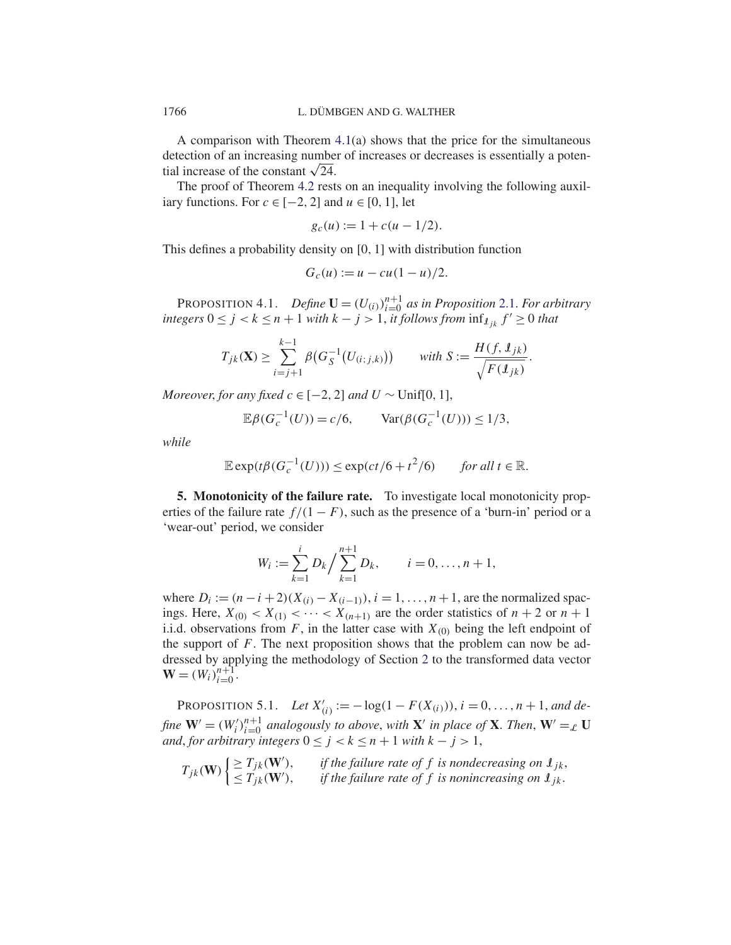A comparison with Theorem 4.1(a) shows that the price for the simultaneous detection of an increasing number of increases or decreases is essentially a potential increase of the constant  $\sqrt{24}$ .

The proof of Theorem 4.2 rests on an inequality involving the following auxiliary functions. For  $c \in [-2, 2]$  and  $u \in [0, 1]$ , let

$$
g_c(u) := 1 + c(u - 1/2).
$$

This defines a probability density on [0, 1] with distribution function

$$
G_c(u) := u - cu(1-u)/2.
$$

PROPOSITION 4.1. *Define*  $\mathbf{U} = (U_{(i)})_{i=0}^{n+1}$  *as in Proposition* 2.1. *For arbitrary integers* 0 ≤ *j* < *k* ≤ *n* + 1 *with k* − *j* > 1, *it follows from*  $\inf_{k \in \mathbb{R}} f' \ge 0$  *that* 

$$
T_{jk}(\mathbf{X}) \ge \sum_{i=j+1}^{k-1} \beta \big( G_S^{-1} \big( U_{(i;j,k)} \big) \big) \qquad \text{with } S := \frac{H(f, \mathbf{1}_{jk})}{\sqrt{F(\mathbf{1}_{jk})}}
$$

.

*Moreover, for any fixed*  $c \in [-2, 2]$  *and*  $U \sim \text{Unif}[0, 1]$ ,

$$
\mathbb{E}\beta(G_c^{-1}(U)) = c/6, \qquad \text{Var}(\beta(G_c^{-1}(U))) \le 1/3,
$$

*while*

$$
\mathbb{E}\exp(t\beta(G_c^{-1}(U))) \le \exp(ct/6 + t^2/6) \qquad \text{for all } t \in \mathbb{R}.
$$

**5. Monotonicity of the failure rate.** To investigate local monotonicity properties of the failure rate  $f/(1 - F)$ , such as the presence of a 'burn-in' period or a 'wear-out' period, we consider

$$
W_i := \sum_{k=1}^i D_k / \sum_{k=1}^{n+1} D_k, \qquad i = 0, \dots, n+1,
$$

where  $D_i := (n-i+2)(X_{(i)} - X_{(i-1)}), i = 1, ..., n+1$ , are the normalized spacings. Here,  $X_{(0)} < X_{(1)} < \cdots < X_{(n+1)}$  are the order statistics of  $n+2$  or  $n+1$ i.i.d. observations from F, in the latter case with  $X_{(0)}$  being the left endpoint of the support of  $F$ . The next proposition shows that the problem can now be addressed by applying the methodology of Section 2 to the transformed data vector  $\mathbf{W} = (W_i)_{i=0}^{n+1}$ .

PROPOSITION 5.1. *Let*  $X'_{(i)} := -\log(1 - F(X_{(i)})), i = 0, ..., n + 1,$  and de*fine*  $\mathbf{W}' = (W_i')_{i=0}^{n+1}$  analogously to above, with  $\mathbf{X}'$  in place of  $\mathbf{X}$ . *Then*,  $\mathbf{W}' =_{\mathcal{L}} \mathbf{U}$ *and*, *for arbitrary integers*  $0 \le j < k \le n + 1$  *with*  $k - j > 1$ ,

$$
T_{jk}(\mathbf{W})\begin{cases} \geq T_{jk}(\mathbf{W}'), & \text{if the failure rate of } f \text{ is nondecreasing on } \mathbf{1}_{jk},\\ \leq T_{jk}(\mathbf{W}'), & \text{if the failure rate of } f \text{ is nonincreasing on } \mathbf{1}_{jk}. \end{cases}
$$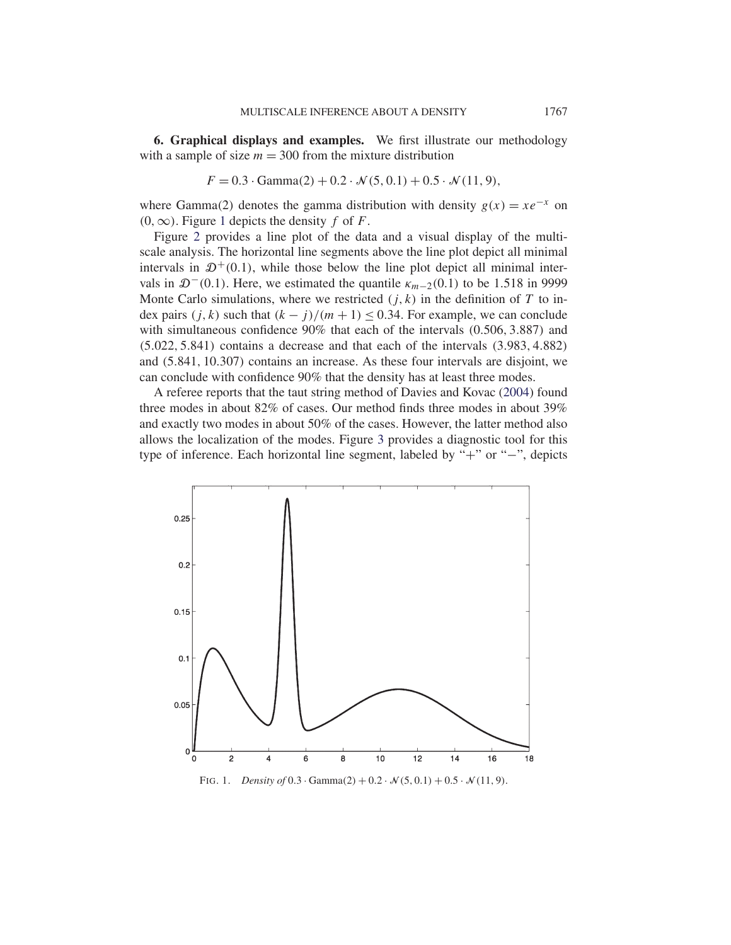**6. Graphical displays and examples.** We first illustrate our methodology with a sample of size  $m = 300$  from the mixture distribution

$$
F = 0.3 \cdot \text{Gamma}(2) + 0.2 \cdot \mathcal{N}(5, 0.1) + 0.5 \cdot \mathcal{N}(11, 9),
$$

where Gamma(2) denotes the gamma distribution with density  $g(x) = xe^{-x}$  on  $(0, \infty)$ . Figure 1 depicts the density f of F.

Figure 2 provides a line plot of the data and a visual display of the multiscale analysis. The horizontal line segments above the line plot depict all minimal intervals in  $\mathcal{D}^+(0,1)$ , while those below the line plot depict all minimal intervals in  $\mathcal{D}^-(0.1)$ . Here, we estimated the quantile  $\kappa_{m-2}(0.1)$  to be 1.518 in 9999 Monte Carlo simulations, where we restricted  $(j, k)$  in the definition of T to index pairs  $(j, k)$  such that  $(k - j)/(m + 1) \le 0.34$ . For example, we can conclude with simultaneous confidence 90% that each of the intervals (0.506, 3.887) and (5.022, 5.841) contains a decrease and that each of the intervals (3.983, 4.882) and (5.841, 10.307) contains an increase. As these four intervals are disjoint, we can conclude with confidence 90% that the density has at least three modes.

A referee reports that the taut string method of Davies and Kovac (2004) found three modes in about 82% of cases. Our method finds three modes in about 39% and exactly two modes in about 50% of the cases. However, the latter method also allows the localization of the modes. Figure 3 provides a diagnostic tool for this type of inference. Each horizontal line segment, labeled by "+" or "−", depicts



FIG. 1. *Density of*  $0.3 \cdot \text{Gamma}(2) + 0.2 \cdot \mathcal{N}(5, 0.1) + 0.5 \cdot \mathcal{N}(11, 9)$ .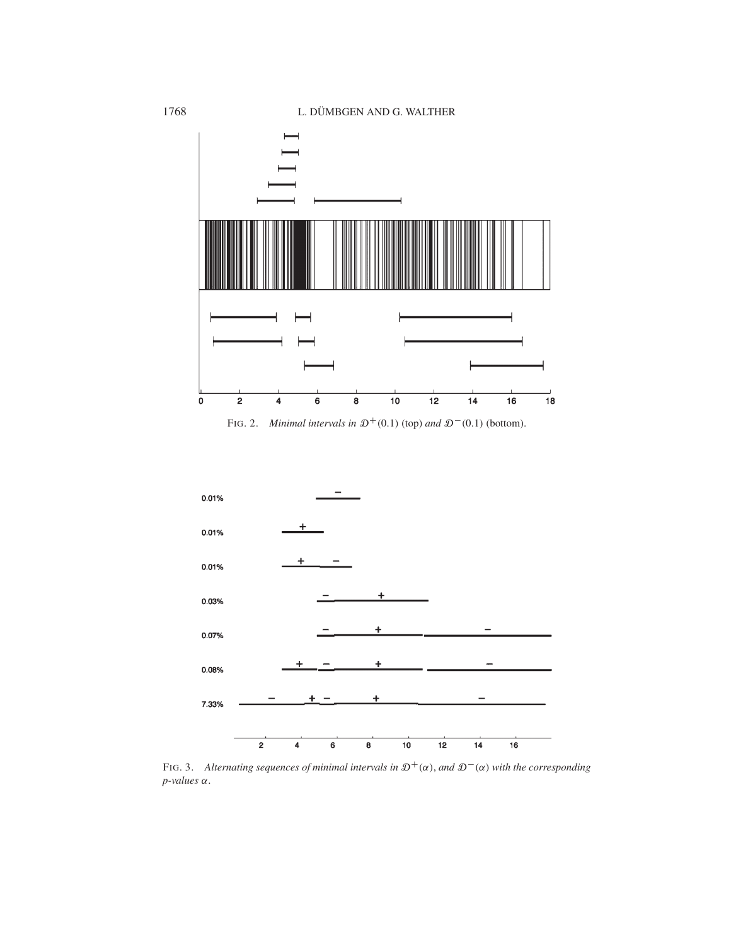1768 L. DÜMBGEN AND G. WALTHER



FIG. 2. *Minimal intervals in*  $\mathcal{D}^+(0.1)$  (top) *and*  $\mathcal{D}^-(0.1)$  (bottom).



FIG. 3. Alternating sequences of minimal intervals in  $\mathfrak{D}^+(\alpha)$ , and  $\mathfrak{D}^-(\alpha)$  with the corresponding *p-values* α.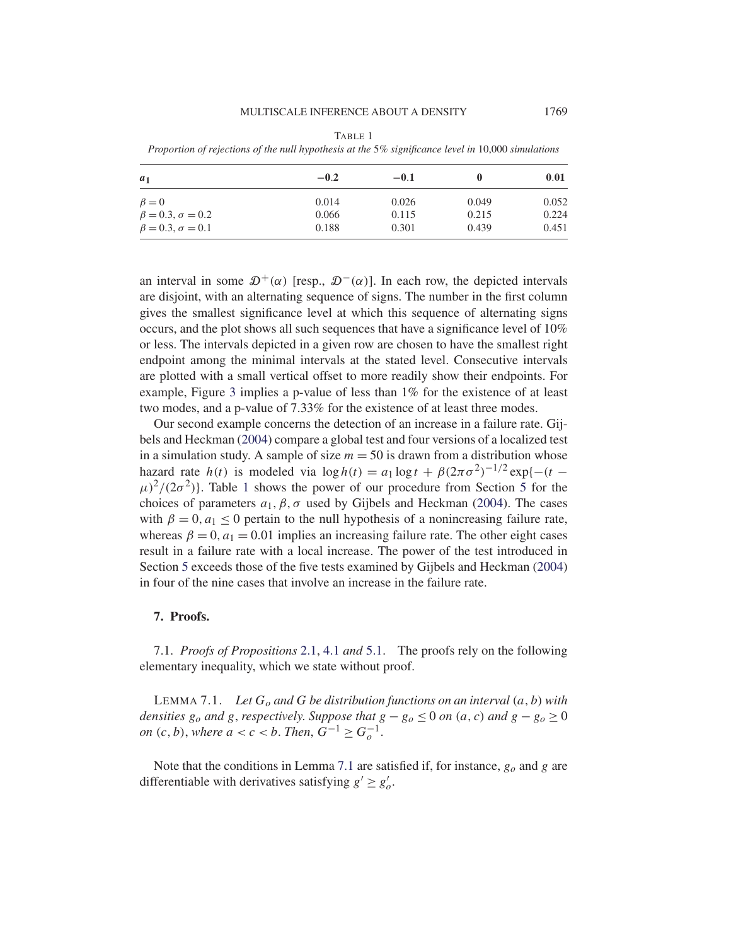#### MULTISCALE INFERENCE ABOUT A DENSITY 1769

TABLE 1

*Proportion of rejections of the null hypothesis at the* 5*% significance level in* 10,000 *simulations*

| $a_1$                       | $-0.2$ | $-0.1$ |       | 0.01  |
|-----------------------------|--------|--------|-------|-------|
| $\beta = 0$                 | 0.014  | 0.026  | 0.049 | 0.052 |
| $\beta = 0.3, \sigma = 0.2$ | 0.066  | 0.115  | 0.215 | 0.224 |
| $\beta = 0.3, \sigma = 0.1$ | 0.188  | 0.301  | 0.439 | 0.451 |

an interval in some  $\mathcal{D}^+(\alpha)$  [resp.,  $\mathcal{D}^-(\alpha)$ ]. In each row, the depicted intervals are disjoint, with an alternating sequence of signs. The number in the first column gives the smallest significance level at which this sequence of alternating signs occurs, and the plot shows all such sequences that have a significance level of 10% or less. The intervals depicted in a given row are chosen to have the smallest right endpoint among the minimal intervals at the stated level. Consecutive intervals are plotted with a small vertical offset to more readily show their endpoints. For example, Figure 3 implies a p-value of less than 1% for the existence of at least two modes, and a p-value of 7.33% for the existence of at least three modes.

Our second example concerns the detection of an increase in a failure rate. Gijbels and Heckman (2004) compare a global test and four versions of a localized test in a simulation study. A sample of size  $m = 50$  is drawn from a distribution whose hazard rate  $h(t)$  is modeled via  $\log h(t) = a_1 \log t + \beta (2\pi \sigma^2)^{-1/2} \exp\{-(t (\mu)^2/(2\sigma^2)$ . Table 1 shows the power of our procedure from Section 5 for the choices of parameters  $a_1$ ,  $\beta$ ,  $\sigma$  used by Gijbels and Heckman (2004). The cases with  $\beta = 0$ ,  $a_1 < 0$  pertain to the null hypothesis of a nonincreasing failure rate, whereas  $\beta = 0$ ,  $a_1 = 0.01$  implies an increasing failure rate. The other eight cases result in a failure rate with a local increase. The power of the test introduced in Section 5 exceeds those of the five tests examined by Gijbels and Heckman (2004) in four of the nine cases that involve an increase in the failure rate.

# **7. Proofs.**

7.1. *Proofs of Propositions* 2.1, 4.1 *and* 5.1. The proofs rely on the following elementary inequality, which we state without proof.

LEMMA 7.1. *Let*  $G_0$  *and*  $G$  *be distribution functions on an interval*  $(a, b)$  *with densities*  $g_0$  *and*  $g$ *, respectively. Suppose that*  $g - g_0 \le 0$  *on*  $(a, c)$  *and*  $g - g_0 \ge 0$ *on*  $(c, b)$ , *where*  $a < c < b$ . *Then*,  $G^{-1} \ge G_o^{-1}$ .

Note that the conditions in Lemma 7.1 are satisfied if, for instance,  $g_0$  and g are differentiable with derivatives satisfying  $g' \ge g'_o$ .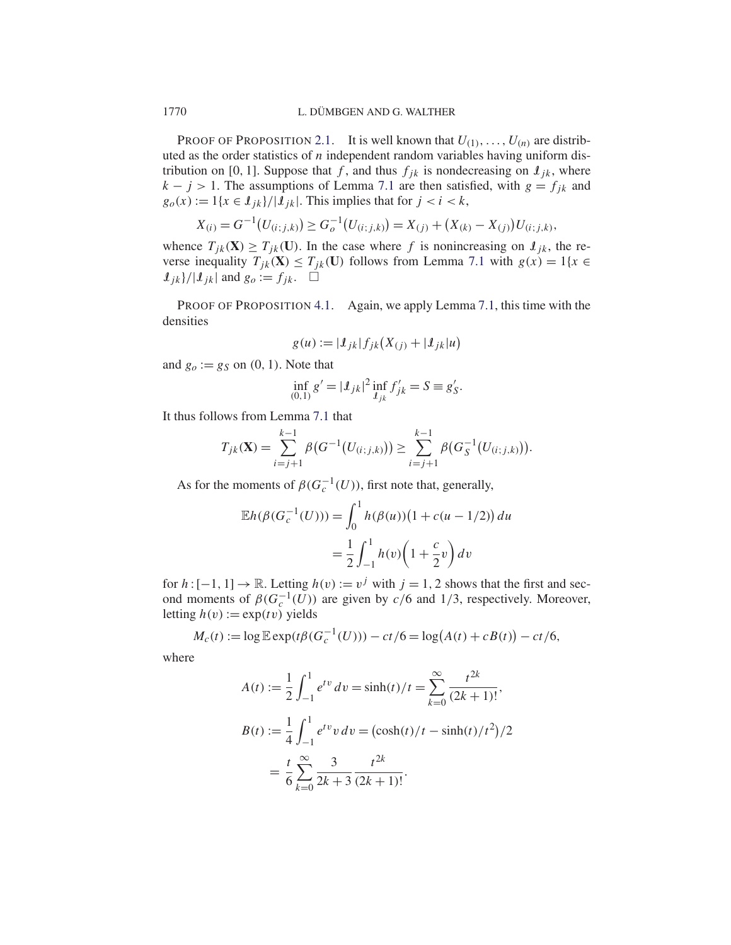PROOF OF PROPOSITION 2.1. It is well known that  $U_{(1)}, \ldots, U_{(n)}$  are distributed as the order statistics of  $n$  independent random variables having uniform distribution on [0, 1]. Suppose that f, and thus  $f_{ik}$  is nondecreasing on  $I_{ik}$ , where  $k - j > 1$ . The assumptions of Lemma 7.1 are then satisfied, with  $g = f_{jk}$  and  $g_o(x) := 1\{x \in \mathcal{I}_{jk}\}/|\mathcal{I}_{jk}|$ . This implies that for  $j < i < k$ ,

$$
X_{(i)} = G^{-1}(U_{(i;j,k)}) \ge G_o^{-1}(U_{(i;j,k)}) = X_{(j)} + (X_{(k)} - X_{(j)})U_{(i;j,k)},
$$

whence  $T_{ik}(\mathbf{X}) \geq T_{ik}(\mathbf{U})$ . In the case where f is nonincreasing on  $\mathbf{I}_{ik}$ , the reverse inequality  $T_{jk}(\mathbf{X}) \leq T_{jk}(\mathbf{U})$  follows from Lemma 7.1 with  $g(x) = 1\{x \in$  $\mathcal{I}_{jk}/|\mathcal{I}_{jk}|$  and  $g_o := f_{jk}$ .  $\Box$ 

PROOF OF PROPOSITION 4.1. Again, we apply Lemma 7.1, this time with the densities

$$
g(u) := |I_{jk}| f_{jk}(X_{(j)} + |I_{jk}|u)
$$

and  $g_0 := g_S$  on  $(0, 1)$ . Note that

$$
\inf_{(0,1)} g' = |\mathcal{I}_{jk}|^2 \inf_{\mathcal{I}_{jk}} f'_{jk} = S \equiv g'_{S}.
$$

It thus follows from Lemma 7.1 that

$$
T_{jk}(\mathbf{X}) = \sum_{i=j+1}^{k-1} \beta(G^{-1}(U_{(i;j,k)})) \geq \sum_{i=j+1}^{k-1} \beta(G_S^{-1}(U_{(i;j,k)})).
$$

As for the moments of  $\beta(G_c^{-1}(U))$ , first note that, generally,

$$
\mathbb{E}h(\beta(G_c^{-1}(U))) = \int_0^1 h(\beta(u))(1 + c(u - 1/2)) du
$$

$$
= \frac{1}{2} \int_{-1}^1 h(v) \left(1 + \frac{c}{2}v\right) dv
$$

for  $h: [-1, 1] \to \mathbb{R}$ . Letting  $h(v) := v<sup>j</sup>$  with  $j = 1, 2$  shows that the first and second moments of  $\beta(G_c^{-1}(U))$  are given by  $c/6$  and 1/3, respectively. Moreover, letting  $h(v) := \exp(tv)$  yields

$$
M_c(t) := \log \mathbb{E} \exp(t\beta(G_c^{-1}(U))) - ct/6 = \log(A(t) + cB(t)) - ct/6,
$$

where

$$
A(t) := \frac{1}{2} \int_{-1}^{1} e^{tv} dv = \sinh(t)/t = \sum_{k=0}^{\infty} \frac{t^{2k}}{(2k+1)!},
$$
  
\n
$$
B(t) := \frac{1}{4} \int_{-1}^{1} e^{tv} v dv = (\cosh(t)/t - \sinh(t)/t^2)/2
$$
  
\n
$$
= \frac{t}{6} \sum_{k=0}^{\infty} \frac{3}{2k+3} \frac{t^{2k}}{(2k+1)!}.
$$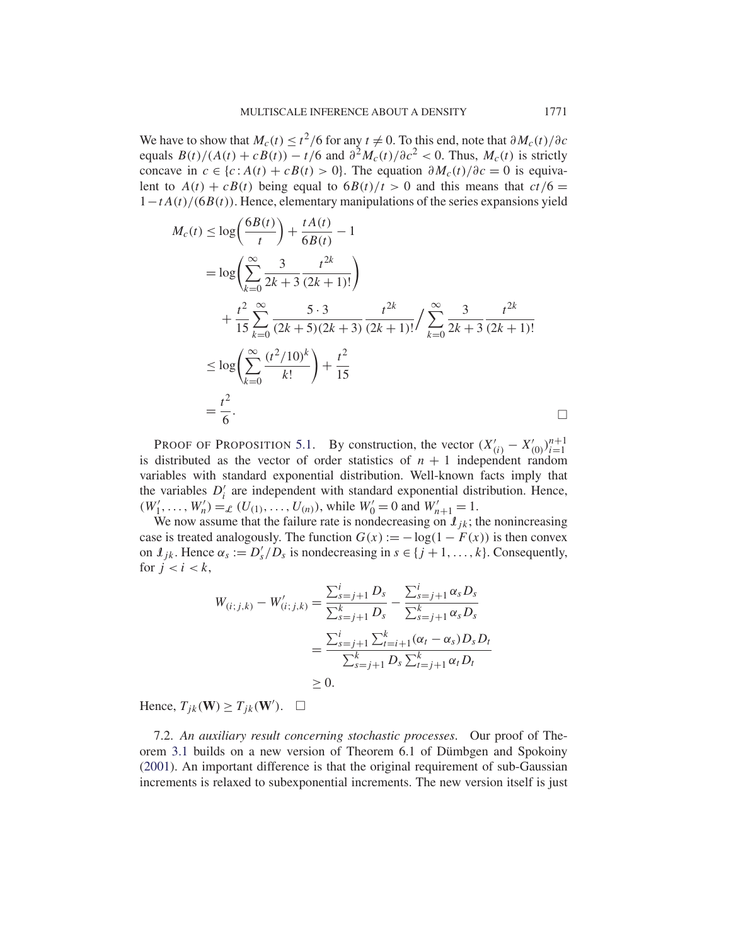We have to show that  $M_c(t) \le t^2/6$  for any  $t \ne 0$ . To this end, note that  $\partial M_c(t)/\partial c$ equals  $B(t)/(A(t) + cB(t)) - t/6$  and  $\partial^2 M_c(t)/\partial c^2 < 0$ . Thus,  $M_c(t)$  is strictly concave in  $c \in \{c : A(t) + cB(t) > 0\}$ . The equation  $\partial M_c(t)/\partial c = 0$  is equivalent to  $A(t) + cB(t)$  being equal to  $\frac{6B(t)}{t} > 0$  and this means that  $ct/6 =$  $1-tA(t)/(6B(t))$ . Hence, elementary manipulations of the series expansions yield

$$
M_c(t) \le \log\left(\frac{6B(t)}{t}\right) + \frac{tA(t)}{6B(t)} - 1
$$
  
=  $\log\left(\sum_{k=0}^{\infty} \frac{3}{2k+3} \frac{t^{2k}}{(2k+1)!}\right)$   
+  $\frac{t^2}{15} \sum_{k=0}^{\infty} \frac{5 \cdot 3}{(2k+5)(2k+3)} \frac{t^{2k}}{(2k+1)!} / \sum_{k=0}^{\infty} \frac{3}{2k+3} \frac{t^{2k}}{(2k+1)!}$   
 $\le \log\left(\sum_{k=0}^{\infty} \frac{(t^2/10)^k}{k!}\right) + \frac{t^2}{15}$   
=  $\frac{t^2}{6}$ .

PROOF OF PROPOSITION 5.1. By construction, the vector  $(X'_{(i)} - X'_{(0)})_{i=1}^{n+1}$  $i=1$ is distributed as the vector of order statistics of  $n + 1$  independent random variables with standard exponential distribution. Well-known facts imply that the variables  $D_i$  are independent with standard exponential distribution. Hence,  $(W'_1, \ldots, W'_n) =_{\mathcal{L}}' (U_{(1)}, \ldots, U_{(n)})$ , while  $W'_0 = 0$  and  $W'_{n+1} = 1$ .

We now assume that the failure rate is nondecreasing on  $I_{jk}$ ; the nonincreasing case is treated analogously. The function  $G(x) := -\log(1 - F(x))$  is then convex on  $\mathcal{I}_{jk}$ . Hence  $\alpha_s := D'_s/D_s$  is nondecreasing in  $s \in \{j+1,\ldots,k\}$ . Consequently, for  $j < i < k$ ,

$$
W_{(i;j,k)} - W'_{(i;j,k)} = \frac{\sum_{s=j+1}^{i} D_s}{\sum_{s=j+1}^{k} D_s} - \frac{\sum_{s=j+1}^{i} \alpha_s D_s}{\sum_{s=j+1}^{k} \alpha_s D_s}
$$
  
= 
$$
\frac{\sum_{s=j+1}^{i} \sum_{t=i+1}^{k} (\alpha_t - \alpha_s) D_s D_t}{\sum_{s=j+1}^{k} D_s \sum_{t=j+1}^{k} \alpha_t D_t}
$$
  
\ge 0.

Hence,  $T_{jk}(\mathbf{W}) \geq T_{jk}(\mathbf{W}')$ .  $\Box$ 

7.2. *An auxiliary result concerning stochastic processes*. Our proof of Theorem 3.1 builds on a new version of Theorem 6.1 of Dümbgen and Spokoiny (2001). An important difference is that the original requirement of sub-Gaussian increments is relaxed to subexponential increments. The new version itself is just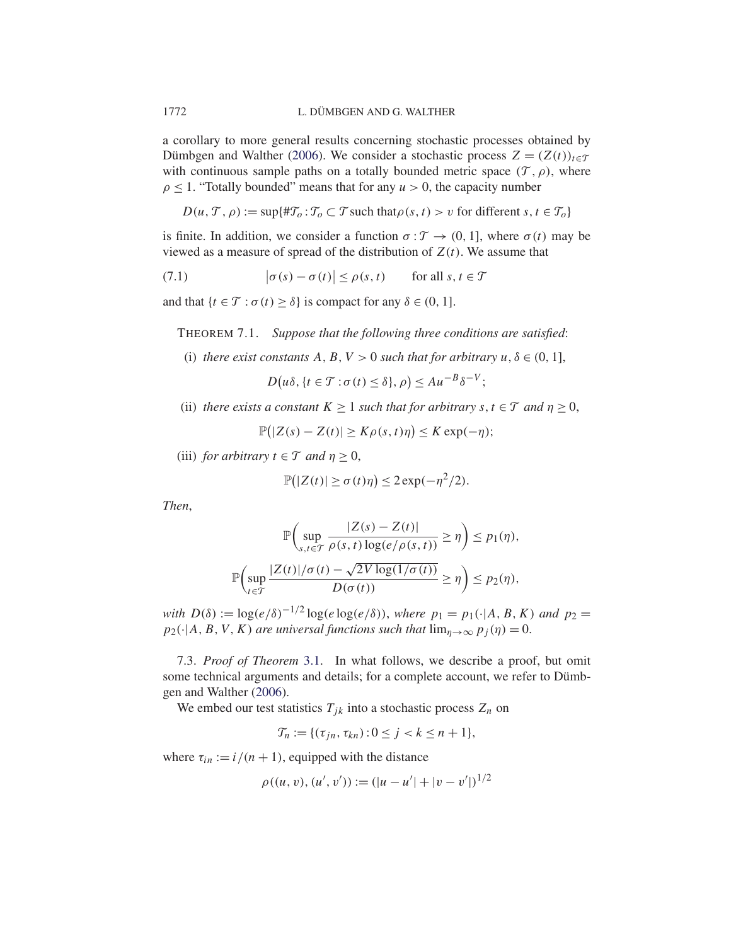a corollary to more general results concerning stochastic processes obtained by Dümbgen and Walther (2006). We consider a stochastic process  $Z = (Z(t))_{t \in \mathcal{T}}$ with continuous sample paths on a totally bounded metric space  $(\mathcal{T}, \rho)$ , where  $\rho \leq 1$ . "Totally bounded" means that for any  $u > 0$ , the capacity number

 $D(u, \mathcal{T}, \rho) := \sup{\lbrace \# \mathcal{T}_o : \mathcal{T}_o \subset \mathcal{T} \text{ such that } \rho(s, t) > v \text{ for different } s, t \in \mathcal{T}_o \rbrace}$ 

is finite. In addition, we consider a function  $\sigma : \mathcal{T} \to (0, 1]$ , where  $\sigma(t)$  may be viewed as a measure of spread of the distribution of  $Z(t)$ . We assume that

(7.1) 
$$
|\sigma(s) - \sigma(t)| \le \rho(s, t) \quad \text{for all } s, t \in \mathcal{T}
$$

and that  $\{t \in \mathcal{T} : \sigma(t) \geq \delta\}$  is compact for any  $\delta \in (0, 1]$ .

THEOREM 7.1. *Suppose that the following three conditions are satisfied*:

(i) *there exist constants*  $A, B, V > 0$  *such that for arbitrary*  $u, \delta \in (0, 1]$ ,

$$
D(u\delta, \{t \in \mathcal{T} : \sigma(t) \le \delta\}, \rho) \le Au^{-B} \delta^{-V};
$$

(ii) *there exists a constant*  $K \ge 1$  *such that for arbitrary*  $s, t \in \mathcal{T}$  *and*  $\eta \ge 0$ ,

$$
\mathbb{P}(|Z(s) - Z(t)| \ge K\rho(s, t)\eta) \le K \exp(-\eta);
$$

(iii) *for arbitrary*  $t \in \mathcal{T}$  *and*  $\eta \geq 0$ ,

$$
\mathbb{P}(|Z(t)| \ge \sigma(t)\eta) \le 2\exp(-\eta^2/2).
$$

*Then*,

$$
\mathbb{P}\left(\sup_{s,t\in\mathcal{T}}\frac{|Z(s)-Z(t)|}{\rho(s,t)\log(e/\rho(s,t))} \geq \eta\right) \leq p_1(\eta),
$$
  

$$
\mathbb{P}\left(\sup_{t\in\mathcal{T}}\frac{|Z(t)|/\sigma(t)-\sqrt{2V\log(1/\sigma(t))}}{D(\sigma(t))} \geq \eta\right) \leq p_2(\eta),
$$

*with*  $D(\delta) := \log(e/\delta)^{-1/2} \log(e \log(e/\delta))$ , *where*  $p_1 = p_1(\cdot | A, B, K)$  *and*  $p_2 =$  $p_2(\cdot|A, B, V, K)$  *are universal functions such that*  $\lim_{\eta \to \infty} p_j(\eta) = 0$ .

7.3. *Proof of Theorem* 3.1. In what follows, we describe a proof, but omit some technical arguments and details; for a complete account, we refer to Dümbgen and Walther (2006).

We embed our test statistics  $T_{jk}$  into a stochastic process  $Z_n$  on

$$
\mathcal{T}_n := \{ (\tau_{jn}, \tau_{kn}) : 0 \le j < k \le n+1 \},
$$

where  $\tau_{in} := i/(n + 1)$ , equipped with the distance

$$
\rho((u, v), (u', v')) := (|u - u'| + |v - v'|)^{1/2}
$$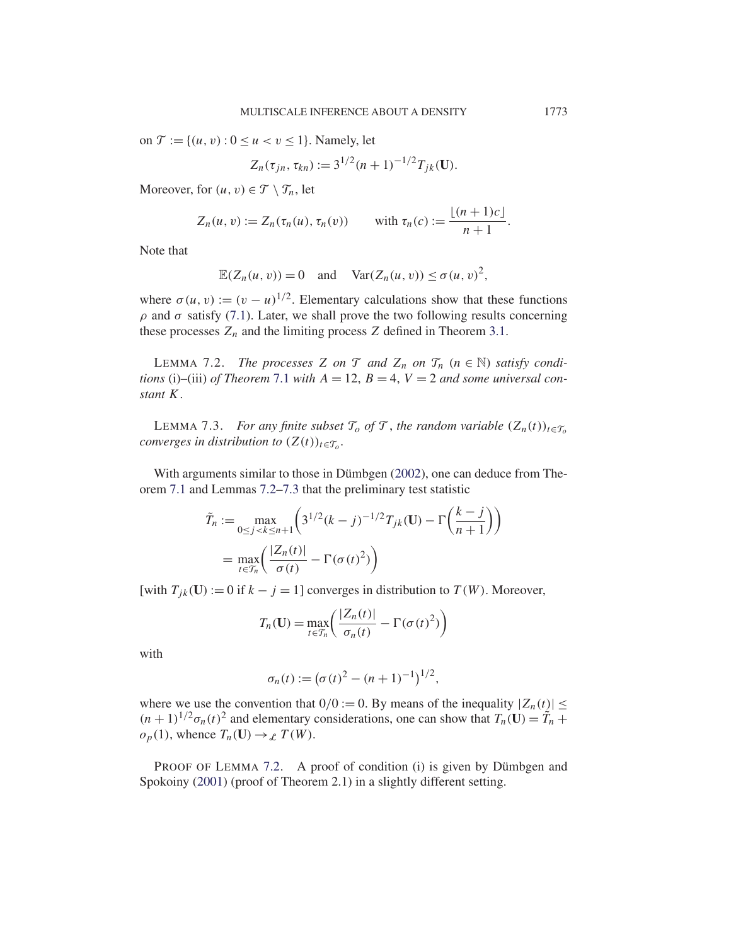on  $\mathcal{T} := \{(u, v) : 0 \le u < v \le 1\}$ . Namely, let

$$
Z_n(\tau_{jn}, \tau_{kn}) := 3^{1/2} (n+1)^{-1/2} T_{jk}(\mathbf{U}).
$$

Moreover, for  $(u, v) \in \mathcal{T} \setminus \mathcal{T}_n$ , let

$$
Z_n(u, v) := Z_n(\tau_n(u), \tau_n(v)) \quad \text{with } \tau_n(c) := \frac{\lfloor (n+1)c \rfloor}{n+1}.
$$

Note that

$$
\mathbb{E}(Z_n(u, v)) = 0 \quad \text{and} \quad \text{Var}(Z_n(u, v)) \le \sigma(u, v)^2,
$$

where  $\sigma(u, v) := (v - u)^{1/2}$ . Elementary calculations show that these functions ρ and σ satisfy (7.1). Later, we shall prove the two following results concerning these processes  $Z_n$  and the limiting process Z defined in Theorem 3.1.

LEMMA 7.2. *The processes* Z *on*  $\mathcal{T}$  *and*  $Z_n$  *on*  $\mathcal{T}_n$  ( $n \in \mathbb{N}$ ) *satisfy conditions* (i)–(iii) *of Theorem* 7.1 *with*  $A = 12$ ,  $B = 4$ ,  $V = 2$  *and some universal constant* K.

LEMMA 7.3. *For any finite subset*  $\mathcal{T}_o$  *of*  $\mathcal{T}$ *, the random variable*  $(Z_n(t))_{t \in \mathcal{T}_o}$ *converges in distribution to*  $(Z(t))_{t \in \mathcal{T}_o}$ .

With arguments similar to those in Dümbgen (2002), one can deduce from Theorem 7.1 and Lemmas 7.2–7.3 that the preliminary test statistic

$$
\tilde{T}_n := \max_{0 \le j < k \le n+1} \left( 3^{1/2} (k-j)^{-1/2} T_{jk}(\mathbf{U}) - \Gamma \left( \frac{k-j}{n+1} \right) \right)
$$
\n
$$
= \max_{t \in \mathcal{T}_n} \left( \frac{|Z_n(t)|}{\sigma(t)} - \Gamma(\sigma(t)^2) \right)
$$

[with  $T_{jk}(\mathbf{U}) := 0$  if  $k - j = 1$ ] converges in distribution to  $T(W)$ . Moreover,

$$
T_n(\mathbf{U}) = \max_{t \in \mathcal{T}_n} \left( \frac{|Z_n(t)|}{\sigma_n(t)} - \Gamma(\sigma(t)^2) \right)
$$

with

$$
\sigma_n(t) := (\sigma(t)^2 - (n+1)^{-1})^{1/2},
$$

where we use the convention that  $0/0 := 0$ . By means of the inequality  $|Z_n(t)| \le$  $(n + 1)^{1/2} \sigma_n(t)^2$  and elementary considerations, one can show that  $T_n(\mathbf{U}) = \tilde{T}_n +$  $o_p(1)$ , whence  $T_n(\mathbf{U}) \to_{\mathcal{L}} T(W)$ .

PROOF OF LEMMA 7.2. A proof of condition (i) is given by Dümbgen and Spokoiny (2001) (proof of Theorem 2.1) in a slightly different setting.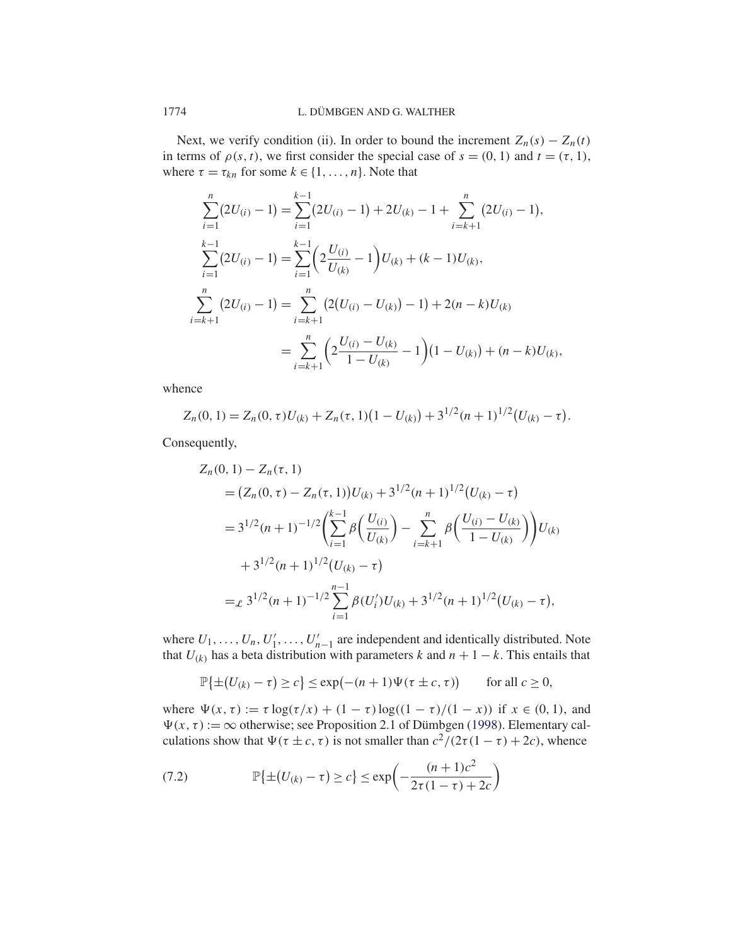Next, we verify condition (ii). In order to bound the increment  $Z_n(s) - Z_n(t)$ in terms of  $\rho(s, t)$ , we first consider the special case of  $s = (0, 1)$  and  $t = (\tau, 1)$ , where  $\tau = \tau_{kn}$  for some  $k \in \{1, ..., n\}$ . Note that

$$
\sum_{i=1}^{n} (2U_{(i)} - 1) = \sum_{i=1}^{k-1} (2U_{(i)} - 1) + 2U_{(k)} - 1 + \sum_{i=k+1}^{n} (2U_{(i)} - 1),
$$
  
\n
$$
\sum_{i=1}^{k-1} (2U_{(i)} - 1) = \sum_{i=1}^{k-1} \left( 2\frac{U_{(i)}}{U_{(k)}} - 1 \right) U_{(k)} + (k - 1)U_{(k)},
$$
  
\n
$$
\sum_{i=k+1}^{n} (2U_{(i)} - 1) = \sum_{i=k+1}^{n} \left( 2(U_{(i)} - U_{(k)}) - 1 \right) + 2(n - k)U_{(k)}
$$
  
\n
$$
= \sum_{i=k+1}^{n} \left( 2\frac{U_{(i)} - U_{(k)}}{1 - U_{(k)}} - 1 \right) (1 - U_{(k)}) + (n - k)U_{(k)},
$$

whence

$$
Z_n(0,1) = Z_n(0,\tau)U_{(k)} + Z_n(\tau,1)(1-U_{(k)}) + 3^{1/2}(n+1)^{1/2}(U_{(k)}-\tau).
$$

Consequently,

$$
Z_n(0, 1) - Z_n(\tau, 1)
$$
  
=  $(Z_n(0, \tau) - Z_n(\tau, 1))U_{(k)} + 3^{1/2}(n + 1)^{1/2}(U_{(k)} - \tau)$   
=  $3^{1/2}(n + 1)^{-1/2} \left( \sum_{i=1}^{k-1} \beta \left( \frac{U_{(i)}}{U_{(k)}} \right) - \sum_{i=k+1}^n \beta \left( \frac{U_{(i)} - U_{(k)}}{1 - U_{(k)}} \right) \right)U_{(k)}$   
+  $3^{1/2}(n + 1)^{1/2}(U_{(k)} - \tau)$   
=  $\varepsilon$   $3^{1/2}(n + 1)^{-1/2} \sum_{i=1}^{n-1} \beta(U_i)U_{(k)} + 3^{1/2}(n + 1)^{1/2}(U_{(k)} - \tau),$ 

where  $U_1, \ldots, U_n, U'_1, \ldots, U'_{n-1}$  are independent and identically distributed. Note that  $U_{(k)}$  has a beta distribution with parameters k and  $n + 1 - k$ . This entails that

$$
\mathbb{P}\{\pm(U_{(k)}-\tau)\geq c\}\leq \exp(-(n+1)\Psi(\tau\pm c,\tau))\qquad\text{for all }c\geq 0,
$$

where  $\Psi(x, \tau) := \tau \log(\tau/x) + (1 - \tau) \log((1 - \tau)/(1 - x))$  if  $x \in (0, 1)$ , and  $\Psi(x, \tau) := \infty$  otherwise; see Proposition 2.1 of Dümbgen (1998). Elementary calculations show that  $\Psi(\tau \pm c, \tau)$  is not smaller than  $c^2/(2\tau(1 - \tau) + 2c)$ , whence

(7.2) 
$$
\mathbb{P}\{\pm (U_{(k)} - \tau) \ge c\} \le \exp\left(-\frac{(n+1)c^2}{2\tau(1-\tau) + 2c}\right)
$$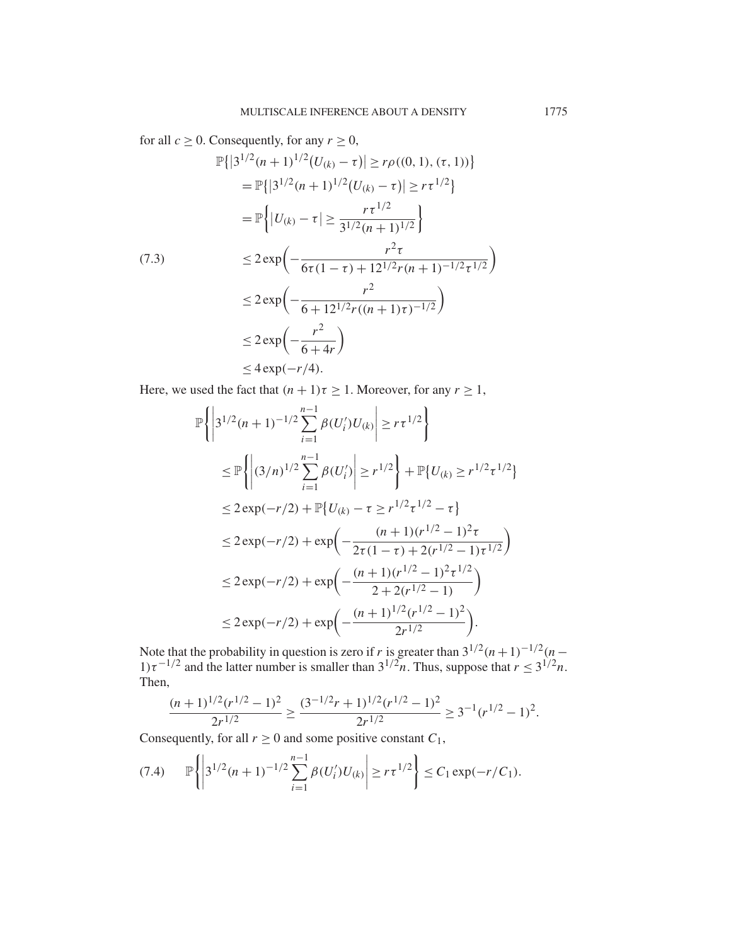for all  $c \ge 0$ . Consequently, for any  $r \ge 0$ ,

$$
\mathbb{P}\{|3^{1/2}(n+1)^{1/2}(U_{(k)}-\tau)| \ge r\rho((0,1), (\tau,1))\}
$$
\n
$$
= \mathbb{P}\{|3^{1/2}(n+1)^{1/2}(U_{(k)}-\tau)| \ge r\tau^{1/2}\}
$$
\n
$$
= \mathbb{P}\{|U_{(k)}-\tau| \ge \frac{r\tau^{1/2}}{3^{1/2}(n+1)^{1/2}}\}
$$
\n(7.3)\n
$$
\le 2 \exp\left(-\frac{r^2\tau}{6\tau(1-\tau)+12^{1/2}r(n+1)^{-1/2}\tau^{1/2}}\right)
$$
\n
$$
\le 2 \exp\left(-\frac{r^2}{6+12^{1/2}r((n+1)\tau)^{-1/2}}\right)
$$
\n
$$
\le 2 \exp\left(-\frac{r^2}{6+4r}\right)
$$
\n
$$
\le 4 \exp(-r/4).
$$

Here, we used the fact that  $(n + 1)\tau \ge 1$ . Moreover, for any  $r \ge 1$ ,

$$
\mathbb{P}\left\{\left|3^{1/2}(n+1)^{-1/2}\sum_{i=1}^{n-1}\beta(U_i')U_{(k)}\right|\geq r\tau^{1/2}\right\}
$$
\n
$$
\leq \mathbb{P}\left\{\left|(3/n)^{1/2}\sum_{i=1}^{n-1}\beta(U_i')\right|\geq r^{1/2}\right\}+\mathbb{P}\left\{U_{(k)}\geq r^{1/2}\tau^{1/2}\right\}
$$
\n
$$
\leq 2\exp(-r/2)+\mathbb{P}\left\{U_{(k)}-\tau\geq r^{1/2}\tau^{1/2}-\tau\right\}
$$
\n
$$
\leq 2\exp(-r/2)+\exp\left(-\frac{(n+1)(r^{1/2}-1)^2\tau}{2\tau(1-\tau)+2(r^{1/2}-1)\tau^{1/2}}\right)
$$
\n
$$
\leq 2\exp(-r/2)+\exp\left(-\frac{(n+1)(r^{1/2}-1)^2\tau^{1/2}}{2+2(r^{1/2}-1)}\right)
$$
\n
$$
\leq 2\exp(-r/2)+\exp\left(-\frac{(n+1)^{1/2}(r^{1/2}-1)^2}{2r^{1/2}}\right).
$$

Note that the probability in question is zero if r is greater than  $3^{1/2}(n+1)^{-1/2}(n-1)$  $1)\tau^{-1/2}$  and the latter number is smaller than  $3^{1/2}n$ . Thus, suppose that  $r \leq 3^{1/2}n$ . Then,

$$
\frac{(n+1)^{1/2}(r^{1/2}-1)^2}{2r^{1/2}} \ge \frac{(3^{-1/2}r+1)^{1/2}(r^{1/2}-1)^2}{2r^{1/2}} \ge 3^{-1}(r^{1/2}-1)^2.
$$

Consequently, for all  $r \ge 0$  and some positive constant  $C_1$ ,

$$
(7.4) \qquad \mathbb{P}\left\{\left|3^{1/2}(n+1)^{-1/2}\sum_{i=1}^{n-1}\beta(U_i')U_{(k)}\right|\geq r\tau^{1/2}\right\}\leq C_1\exp(-r/C_1).
$$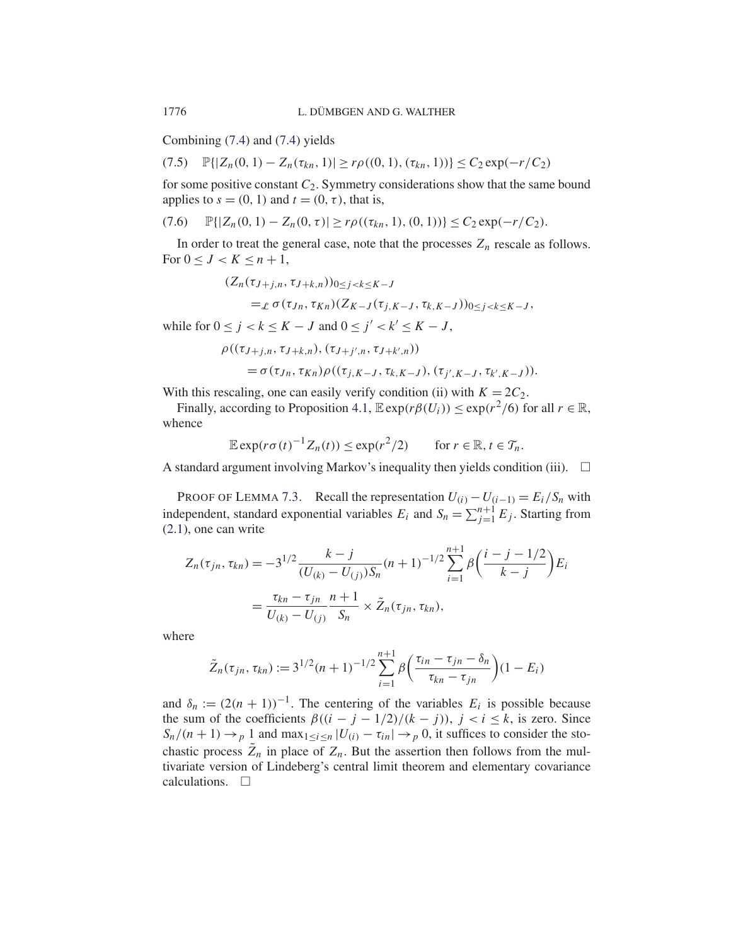Combining (7.4) and (7.4) yields

$$
(7.5) \quad \mathbb{P}\{|Z_n(0,1) - Z_n(\tau_{kn},1)| \ge r\rho((0,1),(\tau_{kn},1))\} \le C_2 \exp(-r/C_2)
$$

for some positive constant  $C_2$ . Symmetry considerations show that the same bound applies to  $s = (0, 1)$  and  $t = (0, \tau)$ , that is,

$$
(7.6) \quad \mathbb{P}\{|Z_n(0,1)-Z_n(0,\tau)|\geq r\rho((\tau_{kn},1),(0,1))\}\leq C_2\exp(-r/C_2).
$$

In order to treat the general case, note that the processes  $Z_n$  rescale as follows. For  $0 \leq J < K \leq n+1$ ,

$$
\begin{aligned} (Z_n(\tau_{J+j,n}, \tau_{J+k,n}))_{0 \le j < k \le K-J} \\ =_{\mathcal{L}} \sigma(\tau_{Jn}, \tau_{Kn}) (Z_{K-J}(\tau_{j,K-J}, \tau_{k,K-J}))_{0 \le j < k \le K-J}, \end{aligned}
$$

while for  $0 \le j < k \le K - J$  and  $0 \le j' < k' \le K - J$ ,

$$
\rho((\tau_{J+j,n}, \tau_{J+k,n}), (\tau_{J+j',n}, \tau_{J+k',n}))
$$
  
=  $\sigma(\tau_{Jn}, \tau_{Kn}) \rho((\tau_{j,K-J}, \tau_{k,K-J}), (\tau_{j',K-J}, \tau_{k',K-J})).$ 

With this rescaling, one can easily verify condition (ii) with  $K = 2C_2$ .

Finally, according to Proposition 4.1,  $\mathbb{E} \exp(r\beta(U_i)) \leq \exp(r^2/6)$  for all  $r \in \mathbb{R}$ , whence

$$
\mathbb{E}\exp(r\sigma(t)^{-1}Z_n(t)) \leq \exp(r^2/2) \qquad \text{for } r \in \mathbb{R}, t \in \mathcal{T}_n.
$$

A standard argument involving Markov's inequality then yields condition (iii).  $\Box$ 

PROOF OF LEMMA 7.3. Recall the representation  $U(i) - U(i-1) = E_i/S_n$  with independent, standard exponential variables  $E_i$  and  $S_n = \sum_{j=1}^{n+1} E_j$ . Starting from (2.1), one can write

$$
Z_n(\tau_{jn}, \tau_{kn}) = -3^{1/2} \frac{k-j}{(U_{(k)} - U_{(j)})S_n} (n+1)^{-1/2} \sum_{i=1}^{n+1} \beta \left( \frac{i-j-1/2}{k-j} \right) E_i
$$
  
= 
$$
\frac{\tau_{kn} - \tau_{jn}}{U_{(k)} - U_{(j)}} \frac{n+1}{S_n} \times \tilde{Z}_n(\tau_{jn}, \tau_{kn}),
$$

where

$$
\tilde{Z}_n(\tau_{jn}, \tau_{kn}) := 3^{1/2} (n+1)^{-1/2} \sum_{i=1}^{n+1} \beta \left( \frac{\tau_{in} - \tau_{jn} - \delta_n}{\tau_{kn} - \tau_{jn}} \right) (1 - E_i)
$$

and  $\delta_n := (2(n + 1))^{-1}$ . The centering of the variables  $E_i$  is possible because the sum of the coefficients  $\beta((i - j - 1/2)/(k - j))$ ,  $j < i \leq k$ , is zero. Since  $S_n/(n+1) \rightarrow p 1$  and  $\max_{1 \le i \le n} |U(i) - \tau_{in}| \rightarrow p 0$ , it suffices to consider the stochastic process  $\tilde{Z}_n$  in place of  $Z_n$ . But the assertion then follows from the multivariate version of Lindeberg's central limit theorem and elementary covariance calculations.  $\Box$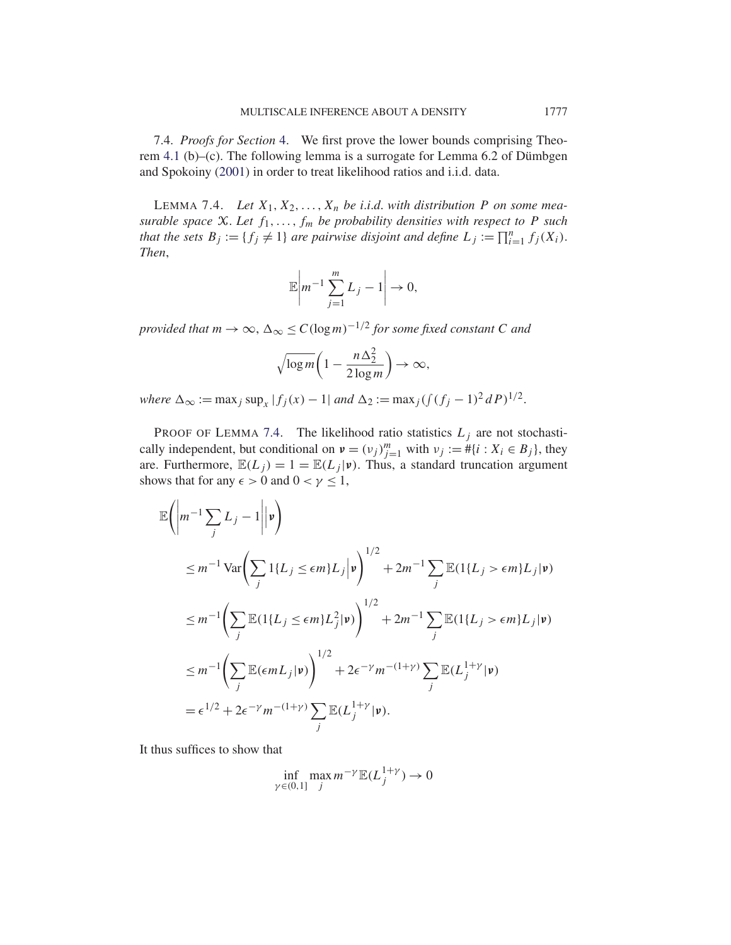7.4. *Proofs for Section* 4. We first prove the lower bounds comprising Theorem 4.1 (b)–(c). The following lemma is a surrogate for Lemma 6.2 of Dümbgen and Spokoiny (2001) in order to treat likelihood ratios and i.i.d. data.

LEMMA 7.4. Let  $X_1, X_2, \ldots, X_n$  be *i.i.d.* with distribution P on some mea*surable space*  $X$ *. Let*  $f_1, \ldots, f_m$  *be probability densities with respect to*  $P$  *such that the sets*  $B_j := \{f_j \neq 1\}$  *are pairwise disjoint and define*  $L_j := \prod_{i=1}^n f_j(X_i)$ . *Then*,

$$
\mathbb{E}\left|m^{-1}\sum_{j=1}^m L_j - 1\right| \to 0,
$$

*provided that*  $m \to \infty$ ,  $\Delta_{\infty} \leq C(\log m)^{-1/2}$  *for some fixed constant* C *and* 

$$
\sqrt{\log m} \bigg( 1 - \frac{n \Delta_2^2}{2 \log m} \bigg) \to \infty,
$$

*where*  $\Delta_{\infty} := \max_j \sup_x |f_j(x) - 1|$  *and*  $\Delta_2 := \max_j ( \int (f_j - 1)^2 dP)^{1/2}$ .

PROOF OF LEMMA 7.4. The likelihood ratio statistics  $L_j$  are not stochastically independent, but conditional on  $v = (v_j)_{j=1}^m$  with  $v_j := \# \{i : X_i \in B_j\}$ , they are. Furthermore,  $\mathbb{E}(L_j) = 1 = \mathbb{E}(L_j | \mathbf{v})$ . Thus, a standard truncation argument shows that for any  $\epsilon > 0$  and  $0 < \gamma \leq 1$ ,

$$
\mathbb{E}\left(\left|m^{-1}\sum_{j}L_{j}-1\right|\left|\mathbf{v}\right|\right)
$$
\n
$$
\leq m^{-1}\operatorname{Var}\left(\sum_{j}1\{L_{j}\leq\epsilon m\}L_{j}\right|\mathbf{v}\right)^{1/2} + 2m^{-1}\sum_{j}\mathbb{E}(1\{L_{j}>\epsilon m\}L_{j}|\mathbf{v})
$$
\n
$$
\leq m^{-1}\left(\sum_{j}\mathbb{E}(1\{L_{j}\leq\epsilon m\}L_{j}^{2}|\mathbf{v})\right)^{1/2} + 2m^{-1}\sum_{j}\mathbb{E}(1\{L_{j}>\epsilon m\}L_{j}|\mathbf{v})
$$
\n
$$
\leq m^{-1}\left(\sum_{j}\mathbb{E}(\epsilon mL_{j}|\mathbf{v})\right)^{1/2} + 2\epsilon^{-\gamma}m^{-(1+\gamma)}\sum_{j}\mathbb{E}(L_{j}^{1+\gamma}|\mathbf{v})
$$
\n
$$
= \epsilon^{1/2} + 2\epsilon^{-\gamma}m^{-(1+\gamma)}\sum_{j}\mathbb{E}(L_{j}^{1+\gamma}|\mathbf{v}).
$$

It thus suffices to show that

$$
\inf_{\gamma \in (0,1]} \max_j m^{-\gamma} \mathbb{E}(L_j^{1+\gamma}) \to 0
$$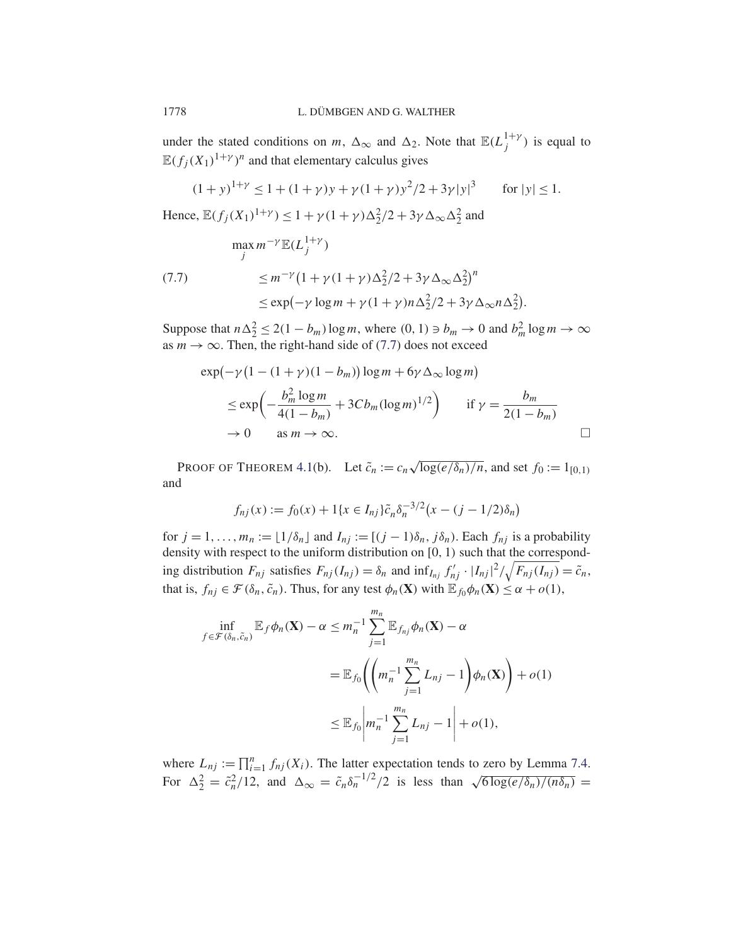under the stated conditions on m,  $\Delta_{\infty}$  and  $\Delta_2$ . Note that  $\mathbb{E}(L_j^{1+\gamma})$  is equal to  $\mathbb{E}(f_j(X_1)^{1+\gamma})^n$  and that elementary calculus gives

$$
(1+y)^{1+\gamma} \le 1 + (1+\gamma)y + \gamma(1+\gamma)y^2/2 + 3\gamma|y|^3 \quad \text{for } |y| \le 1.
$$

Hence,  $\mathbb{E}(f_j(X_1)^{1+\gamma}) \leq 1 + \gamma(1+\gamma)\Delta_2^2/2 + 3\gamma\Delta_{\infty}\Delta_2^2$  and

$$
\max_{j} m^{-\gamma} \mathbb{E}(L_{j}^{1+\gamma})
$$
  
(7.7)  

$$
\leq m^{-\gamma} (1 + \gamma (1 + \gamma) \Delta_{2}^{2}/2 + 3\gamma \Delta_{\infty} \Delta_{2}^{2})^{n}
$$
  

$$
\leq \exp(-\gamma \log m + \gamma (1 + \gamma) n \Delta_{2}^{2}/2 + 3\gamma \Delta_{\infty} n \Delta_{2}^{2}).
$$

Suppose that  $n\Delta_2^2 \le 2(1 - b_m) \log m$ , where  $(0, 1) \ni b_m \to 0$  and  $b_m^2 \log m \to \infty$ as  $m \to \infty$ . Then, the right-hand side of (7.7) does not exceed

$$
\exp(-\gamma (1 - (1 + \gamma)(1 - b_m)) \log m + 6\gamma \Delta_{\infty} \log m)
$$
  
\n
$$
\leq \exp\left(-\frac{b_m^2 \log m}{4(1 - b_m)} + 3Cb_m (\log m)^{1/2}\right) \quad \text{if } \gamma = \frac{b_m}{2(1 - b_m)}
$$
  
\n
$$
\to 0 \quad \text{as } m \to \infty. \qquad \Box
$$

PROOF OF THEOREM 4.1(b). Let  $\tilde{c}_n := c_n \sqrt{\log(e/\delta_n)/n}$ , and set  $f_0 := 1_{[0,1)}$ and

$$
f_{nj}(x) := f_0(x) + 1\{x \in I_{nj}\}\tilde{c}_n \delta_n^{-3/2} (x - (j - 1/2)\delta_n)
$$

for  $j = 1, ..., m_n := \lfloor 1/\delta_n \rfloor$  and  $I_{nj} := \lfloor (j-1)\delta_n, j\delta_n \rfloor$ . Each  $f_{nj}$  is a probability density with respect to the uniform distribution on [0, 1) such that the corresponding distribution  $F_{nj}$  satisfies  $F_{nj}(I_{nj}) = \delta_n$  and  $\inf_{I_{nj}} f'_{nj} \cdot |I_{nj}|^2 / \sqrt{F_{nj}(I_{nj})} = \tilde{c}_n$ , that is,  $f_{nj} \in \mathcal{F}(\delta_n, \tilde{c}_n)$ . Thus, for any test  $\phi_n(\mathbf{X})$  with  $\mathbb{E}_{f_0} \phi_n(\mathbf{X}) \le \alpha + o(1)$ ,

$$
\inf_{f \in \mathcal{F}(\delta_n, \tilde{c}_n)} \mathbb{E}_f \phi_n(\mathbf{X}) - \alpha \leq m_n^{-1} \sum_{j=1}^{m_n} \mathbb{E}_{f_{nj}} \phi_n(\mathbf{X}) - \alpha
$$
\n
$$
= \mathbb{E}_{f_0} \left( \left( m_n^{-1} \sum_{j=1}^{m_n} L_{nj} - 1 \right) \phi_n(\mathbf{X}) \right) + o(1)
$$
\n
$$
\leq \mathbb{E}_{f_0} \left| m_n^{-1} \sum_{j=1}^{m_n} L_{nj} - 1 \right| + o(1),
$$

where  $L_{nj} := \prod_{i=1}^n f_{nj}(X_i)$ . The latter expectation tends to zero by Lemma 7.4. For  $\Delta_2^2 = \tilde{c}_n^2/12$ , and  $\Delta_{\infty} = \tilde{c}_n \delta_n^{-1/2}/2$  is less than  $\sqrt{6 \log(e/\delta_n)/(n\delta_n)}$  =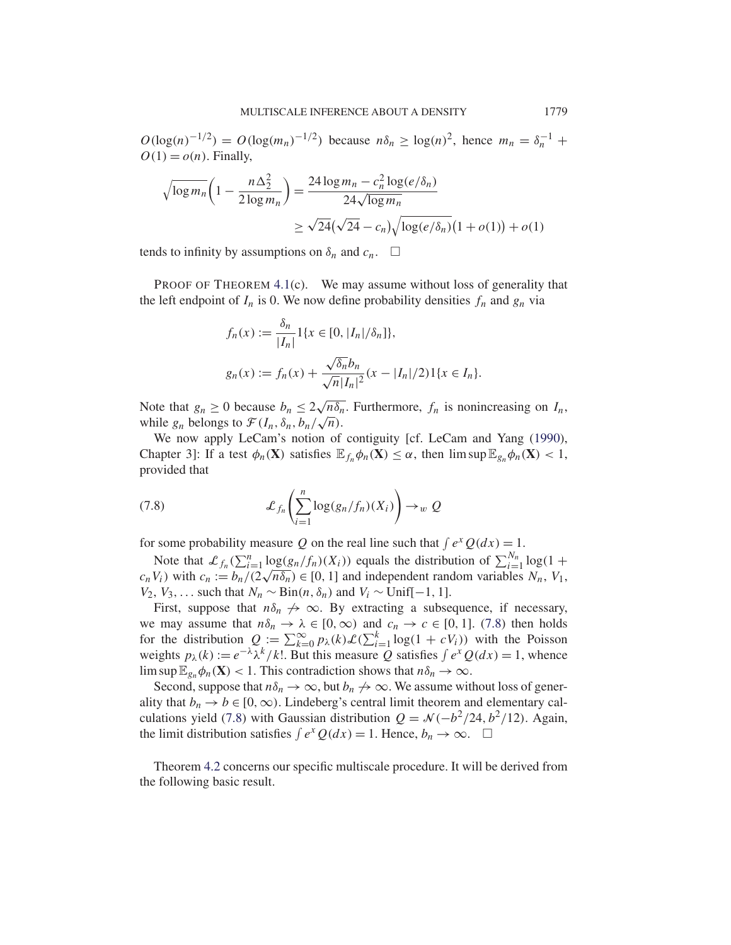$O(\log(n)^{-1/2}) = O(\log(m_n)^{-1/2})$  because  $n\delta_n \geq \log(n)^2$ , hence  $m_n = \delta_n^{-1}$  +  $O(1) = o(n)$ . Finally,

$$
\sqrt{\log m_n} \left( 1 - \frac{n \Delta_2^2}{2 \log m_n} \right) = \frac{24 \log m_n - c_n^2 \log(e/\delta_n)}{24 \sqrt{\log m_n}} \approx \sqrt{24} (\sqrt{24} - c_n) \sqrt{\log(e/\delta_n)} (1 + o(1)) + o(1)
$$

tends to infinity by assumptions on  $\delta_n$  and  $c_n$ .  $\Box$ 

PROOF OF THEOREM 4.1(c). We may assume without loss of generality that the left endpoint of  $I_n$  is 0. We now define probability densities  $f_n$  and  $g_n$  via

$$
f_n(x) := \frac{\delta_n}{|I_n|} 1\{x \in [0, |I_n|/\delta_n]\},
$$
  

$$
g_n(x) := f_n(x) + \frac{\sqrt{\delta_n}b_n}{\sqrt{n}|I_n|^2}(x - |I_n|/2)1\{x \in I_n\}.
$$

Note that  $g_n \ge 0$  because  $b_n \le 2\sqrt{n\delta_n}$ . Furthermore,  $f_n$  is nonincreasing on  $I_n$ , Note that  $g_n \ge 0$  because  $v_n \le 2\sqrt{n} \sigma_n$ <br>while  $g_n$  belongs to  $\mathcal{F}(I_n, \delta_n, b_n/\sqrt{n})$ .

We now apply LeCam's notion of contiguity [cf. LeCam and Yang (1990), Chapter 3]: If a test  $\phi_n(\mathbf{X})$  satisfies  $\mathbb{E}_{f_n}\phi_n(\mathbf{X}) \leq \alpha$ , then  $\limsup \mathbb{E}_{g_n}\phi_n(\mathbf{X}) < 1$ , provided that

(7.8) 
$$
\mathcal{L}_{f_n}\left(\sum_{i=1}^n \log(g_n/f_n)(X_i)\right) \to_w Q
$$

for some probability measure Q on the real line such that  $\int e^x Q(dx) = 1$ .

Note that  $\mathcal{L}_{f_n}(\sum_{i=1}^n \log(g_n/f_n)(X_i))$  equals the distribution of  $\sum_{i=1}^{N_n} \log(1 +$ Note that  $\mathcal{L}_{f_n}(\sum_{i=1}^n \log(g_n/f_n)(X_i))$  equals the distribution of  $\sum_{i=1}^n \log(1 + c_n V_i)$  with  $c_n := b_n/(2\sqrt{n\delta_n}) \in [0, 1]$  and independent random variables  $N_n$ ,  $V_1$ ,  $V_2$ ,  $V_3$ ,... such that  $N_n \sim Bin(n, \delta_n)$  and  $V_i \sim Unif[-1, 1]$ .

First, suppose that  $n\delta_n \nightharpoonup \infty$ . By extracting a subsequence, if necessary, we may assume that  $n\delta_n \to \lambda \in [0,\infty)$  and  $c_n \to c \in [0,1]$ . (7.8) then holds for the distribution  $Q := \sum_{k=0}^{\infty} p_{\lambda}(k) \mathcal{L}(\sum_{i=1}^{k} \log(1 + cV_i))$  with the Poisson weights  $p_{\lambda}(k) := e^{-\lambda} \lambda^{k} / k!$ . But this measure Q satisfies  $\int e^{x} Q(dx) = 1$ , whence lim sup  $\mathbb{E}_{g_n}\phi_n(\mathbf{X}) < 1$ . This contradiction shows that  $n\delta_n \to \infty$ .

Second, suppose that  $n\delta_n \to \infty$ , but  $b_n \to \infty$ . We assume without loss of generality that  $b_n \to b \in [0,\infty)$ . Lindeberg's central limit theorem and elementary calculations yield (7.8) with Gaussian distribution  $Q = \mathcal{N}(-b^2/24, b^2/12)$ . Again, the limit distribution satisfies  $\int e^x Q(dx) = 1$ . Hence,  $b_n \to \infty$ .  $\Box$ 

Theorem 4.2 concerns our specific multiscale procedure. It will be derived from the following basic result.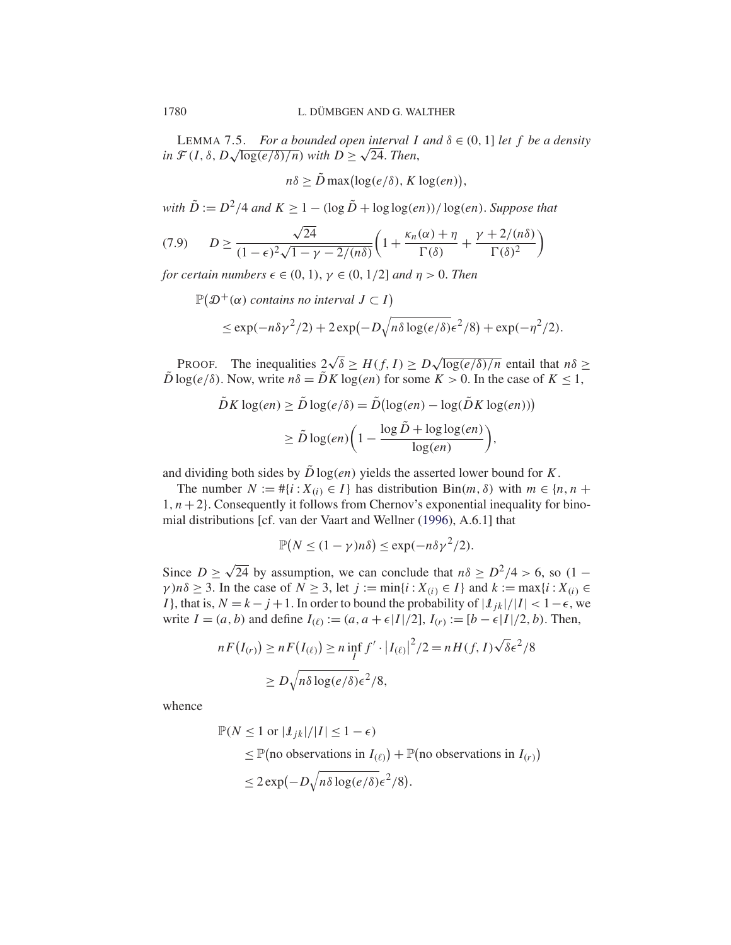LEMMA 7.5. *For a bounded open interval I and*  $\delta \in (0, 1]$  *let* f *be a density in*  $\mathcal{F}(I, \delta, D\sqrt{\log(e/\delta)/n})$  *with*  $D \geq \sqrt{24}$ *. Then,* 

 $n\delta \geq \tilde{D} \max(\log(e/\delta), K \log(en)),$ 

*with*  $\tilde{D} := D^2/4$  *and*  $K \ge 1 - (\log \tilde{D} + \log \log(en))/\log(en)$ *. Suppose that* 

$$
(7.9) \qquad D \ge \frac{\sqrt{24}}{(1-\epsilon)^2 \sqrt{1-\gamma-2/(n\delta)}} \left(1 + \frac{\kappa_n(\alpha) + \eta}{\Gamma(\delta)} + \frac{\gamma + 2/(n\delta)}{\Gamma(\delta)^2}\right)
$$

*for certain numbers*  $\epsilon \in (0, 1), \gamma \in (0, 1/2]$  *and*  $\eta > 0$ *. Then* 

$$
\mathbb{P}(\mathcal{D}^+(\alpha) \text{ contains no interval } J \subset I)
$$
  
\$\leq \exp(-n\delta\gamma^2/2) + 2\exp(-D\sqrt{n\delta\log(e/\delta)}\epsilon^2/8) + \exp(-\eta^2/2).

PROOF. The inequalities  $2\sqrt{\delta} \geq H(f, I) \geq D\sqrt{\log(e/\delta)/n}$  entail that  $n\delta \geq$  $\tilde{D}\log(e/\delta)$ . Now, write  $n\delta = \tilde{D}K\log(en)$  for some  $K > 0$ . In the case of  $K \leq 1$ ,

$$
\tilde{D}K \log(en) \ge \tilde{D} \log(e/\delta) = \tilde{D}(\log(en) - \log(\tilde{D}K \log(en)))
$$

$$
\ge \tilde{D} \log(en) \left(1 - \frac{\log \tilde{D} + \log \log(en)}{\log(en)}\right),
$$

and dividing both sides by  $\tilde{D} \log(en)$  yields the asserted lower bound for K.

The number  $N := #\{i : X_{(i)} \in I\}$  has distribution Bin $(m, \delta)$  with  $m \in \{n, n +$  $1, n+2$ . Consequently it follows from Chernov's exponential inequality for binomial distributions [cf. van der Vaart and Wellner (1996), A.6.1] that

$$
\mathbb{P}(N \le (1 - \gamma)n\delta) \le \exp(-n\delta\gamma^2/2).
$$

Since  $D \ge \sqrt{24}$  by assumption, we can conclude that  $n\delta \ge D^2/4 > 6$ , so  $(1 \gamma$ )n $\delta \geq 3$ . In the case of  $N \geq 3$ , let  $j := \min\{i : X_{(i)} \in I\}$  and  $k := \max\{i : X_{(i)} \in I\}$ I }, that is,  $N = k - j + 1$ . In order to bound the probability of  $|\ell_{ik}|/|I| < 1 - \epsilon$ , we write  $I = (a, b)$  and define  $I_{(\ell)} := (a, a + \epsilon |I|/2], I_{(r)} := [b - \epsilon |I|/2, b)$ . Then,

$$
nF(I_{(r)}) \ge nF(I_{(\ell)}) \ge n \inf_{I} f' \cdot |I_{(\ell)}|^2/2 = nH(f, I)\sqrt{\delta\epsilon^2/8}
$$
  
 
$$
\ge D\sqrt{n\delta\log(e/\delta)}\epsilon^2/8,
$$

whence

$$
\mathbb{P}(N \le 1 \text{ or } |\mathcal{I}_{jk}|/|I| \le 1 - \epsilon)
$$
  
\n
$$
\le \mathbb{P}(\text{no observations in } I_{(\ell)}) + \mathbb{P}(\text{no observations in } I_{(r)})
$$
  
\n
$$
\le 2 \exp(-D\sqrt{n\delta \log(e/\delta)}\epsilon^2/8).
$$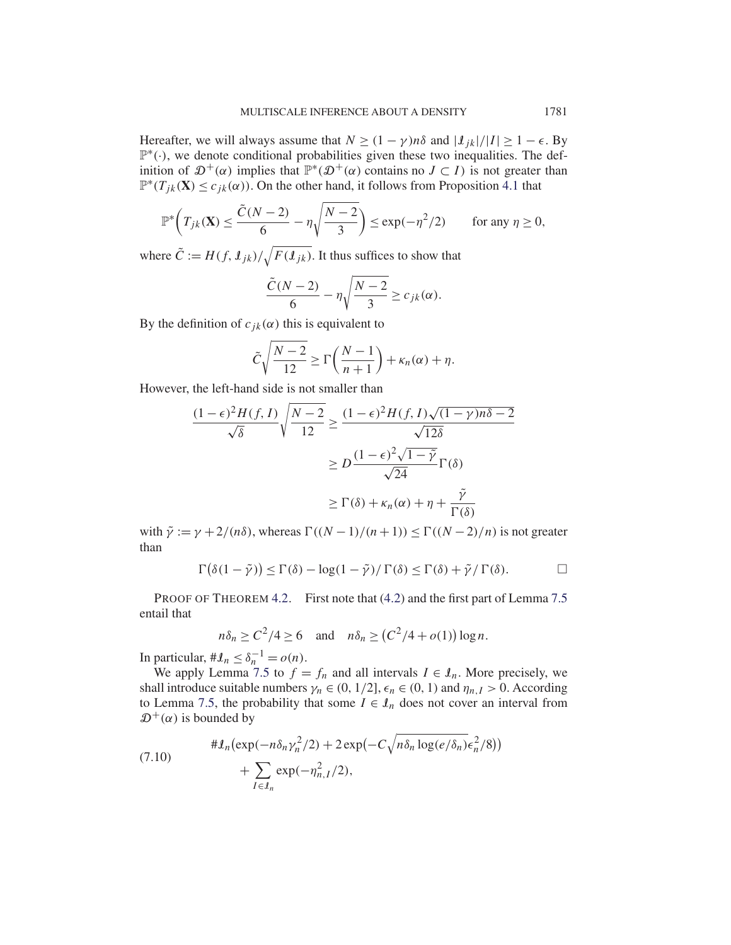Hereafter, we will always assume that  $N \ge (1 - \gamma)n\delta$  and  $|\mathcal{L}_{ik}|/|I| \ge 1 - \epsilon$ . By P∗(·), we denote conditional probabilities given these two inequalities. The definition of  $\mathfrak{D}^+(\alpha)$  implies that  $\mathbb{P}^*(\mathfrak{D}^+(\alpha))$  contains no  $J \subset I$ ) is not greater than  $\mathbb{P}^*(T_{ik}(\mathbf{X}) \leq c_{ik}(\alpha))$ . On the other hand, it follows from Proposition 4.1 that

$$
\mathbb{P}^*\left(T_{jk}(\mathbf{X}) \le \frac{\tilde{C}(N-2)}{6} - \eta \sqrt{\frac{N-2}{3}}\right) \le \exp(-\eta^2/2) \qquad \text{for any } \eta \ge 0,
$$

where  $\tilde{C} := H(f, \mathcal{I}_{jk}) / \sqrt{F(\mathcal{I}_{jk})}$ . It thus suffices to show that

$$
\frac{\tilde{C}(N-2)}{6} - \eta \sqrt{\frac{N-2}{3}} \ge c_{jk}(\alpha).
$$

By the definition of  $c_{jk}(\alpha)$  this is equivalent to

$$
\tilde{C}\sqrt{\frac{N-2}{12}} \ge \Gamma\left(\frac{N-1}{n+1}\right) + \kappa_n(\alpha) + \eta.
$$

However, the left-hand side is not smaller than

$$
\frac{(1-\epsilon)^2 H(f, I)}{\sqrt{\delta}} \sqrt{\frac{N-2}{12}} \ge \frac{(1-\epsilon)^2 H(f, I) \sqrt{(1-\gamma)n\delta - 2}}{\sqrt{12\delta}}
$$

$$
\ge D \frac{(1-\epsilon)^2 \sqrt{1-\tilde{\gamma}}}{\sqrt{24}} \Gamma(\delta)
$$

$$
\ge \Gamma(\delta) + \kappa_n(\alpha) + \eta + \frac{\tilde{\gamma}}{\Gamma(\delta)}
$$

with  $\tilde{\gamma} := \gamma + 2/(n\delta)$ , whereas  $\Gamma((N-1)/(n+1)) \leq \Gamma((N-2)/n)$  is not greater than

$$
\Gamma(\delta(1-\tilde{\gamma})) \leq \Gamma(\delta) - \log(1-\tilde{\gamma})/\Gamma(\delta) \leq \Gamma(\delta) + \tilde{\gamma}/\Gamma(\delta).
$$

PROOF OF THEOREM 4.2. First note that (4.2) and the first part of Lemma 7.5 entail that

$$
n\delta_n \ge C^2/4 \ge 6 \quad \text{and} \quad n\delta_n \ge (C^2/4 + o(1))\log n.
$$

In particular,  $\#\mathcal{L}_n \leq \delta_n^{-1} = o(n)$ .

We apply Lemma 7.5 to  $f = f_n$  and all intervals  $I \in I_n$ . More precisely, we shall introduce suitable numbers  $\gamma_n \in (0, 1/2]$ ,  $\epsilon_n \in (0, 1)$  and  $\eta_{n,I} > 0$ . According to Lemma 7.5, the probability that some  $I \in \mathcal{I}_n$  does not cover an interval from  $\mathcal{D}^+(\alpha)$  is bounded by

(7.10) 
$$
\# \mathcal{I}_n(\exp(-n\delta_n \gamma_n^2/2) + 2\exp(-C\sqrt{n\delta_n \log(e/\delta_n)}\epsilon_n^2/8)) + \sum_{I \in \mathcal{I}_n} \exp(-\eta_{n,I}^2/2),
$$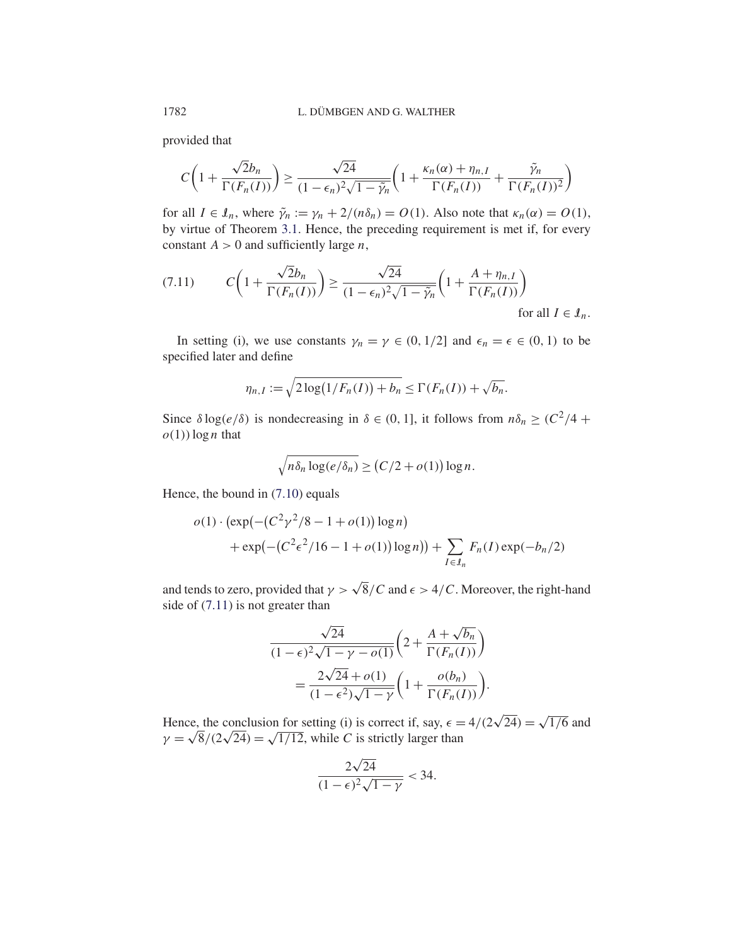provided that

$$
C\left(1+\frac{\sqrt{2}b_n}{\Gamma(F_n(I))}\right) \ge \frac{\sqrt{24}}{(1-\epsilon_n)^2\sqrt{1-\tilde{\gamma}_n}}\left(1+\frac{\kappa_n(\alpha)+\eta_{n,I}}{\Gamma(F_n(I))}+\frac{\tilde{\gamma}_n}{\Gamma(F_n(I))^2}\right)
$$

for all  $I \in \mathcal{I}_n$ , where  $\tilde{\gamma}_n := \gamma_n + 2/(n\delta_n) = O(1)$ . Also note that  $\kappa_n(\alpha) = O(1)$ , by virtue of Theorem 3.1. Hence, the preceding requirement is met if, for every constant  $A > 0$  and sufficiently large *n*,

$$
(7.11) \t C\left(1+\frac{\sqrt{2}b_n}{\Gamma(F_n(I))}\right) \ge \frac{\sqrt{24}}{(1-\epsilon_n)^2\sqrt{1-\tilde{\gamma}_n}}\left(1+\frac{A+\eta_{n,I}}{\Gamma(F_n(I))}\right)
$$
\nfor all  $I \in \mathcal{I}_n$ .

In setting (i), we use constants  $\gamma_n = \gamma \in (0, 1/2]$  and  $\epsilon_n = \epsilon \in (0, 1)$  to be specified later and define

$$
\eta_{n,I} := \sqrt{2\log(1/F_n(I)) + b_n} \leq \Gamma(F_n(I)) + \sqrt{b_n}.
$$

Since  $\delta \log(e/\delta)$  is nondecreasing in  $\delta \in (0, 1]$ , it follows from  $n\delta_n \geq (C^2/4 + C^2)$  $o(1)$ ) log *n* that

$$
\sqrt{n\delta_n \log(e/\delta_n)} \ge (C/2 + o(1)) \log n.
$$

Hence, the bound in (7.10) equals

$$
o(1) \cdot (\exp(-(C^2 \gamma^2/8 - 1 + o(1)) \log n)
$$
  
+ 
$$
\exp(-(C^2 \epsilon^2/16 - 1 + o(1)) \log n)) + \sum_{I \in I_n} F_n(I) \exp(-b_n/2)
$$

and tends to zero, provided that  $\gamma > \sqrt{8}/C$  and  $\epsilon > 4/C$ . Moreover, the right-hand side of (7.11) is not greater than

$$
\frac{\sqrt{24}}{(1-\epsilon)^2 \sqrt{1-\gamma - o(1)}} \left(2 + \frac{A + \sqrt{b_n}}{\Gamma(F_n(I))}\right)
$$

$$
= \frac{2\sqrt{24} + o(1)}{(1-\epsilon^2)\sqrt{1-\gamma}} \left(1 + \frac{o(b_n)}{\Gamma(F_n(I))}\right)
$$

.

Hence, the conclusion for setting (i) is correct if, say,  $\epsilon = 4/(2\sqrt{24}) = \sqrt{1/6}$  and Hence, the conclusion for setting (i) is correct if, say,  $\epsilon = \gamma = \sqrt{8}/(2\sqrt{24}) = \sqrt{1/12}$ , while C is strictly larger than

$$
\frac{2\sqrt{24}}{(1-\epsilon)^2\sqrt{1-\gamma}} < 34.
$$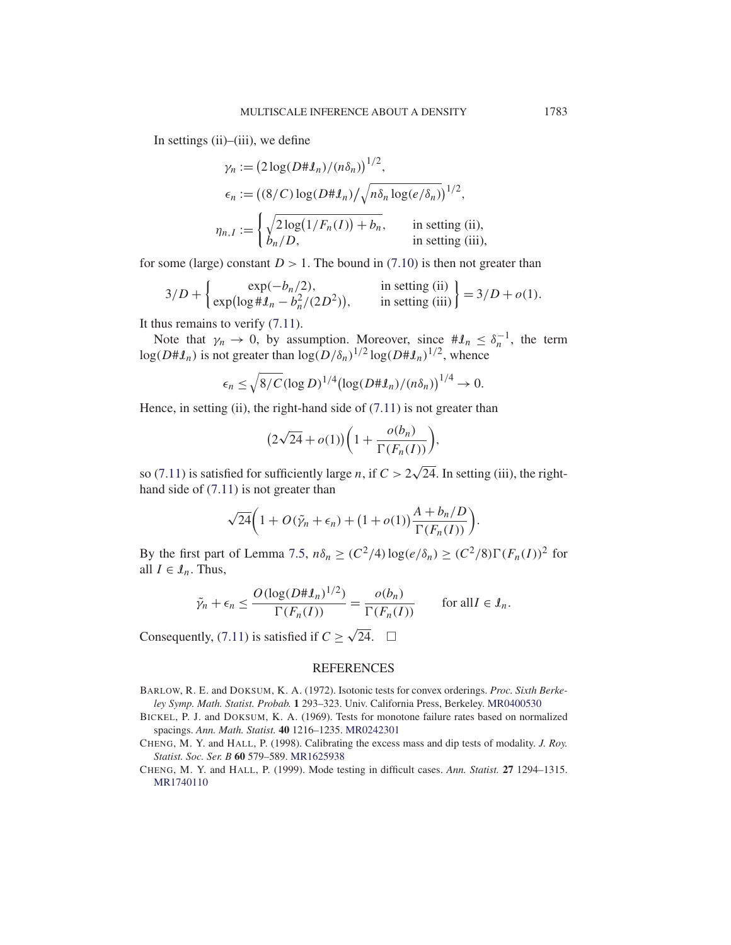In settings  $(ii)$ – $(iii)$ , we define

$$
\gamma_n := \left(2\log(D\#J_n)/(n\delta_n)\right)^{1/2},
$$
  
\n
$$
\epsilon_n := \left(\frac{8}{C}\log(D\#J_n)/\sqrt{n\delta_n \log(e/\delta_n)}\right)^{1/2},
$$
  
\n
$$
\eta_{n,I} := \begin{cases} \sqrt{2\log(1/F_n(I)) + b_n}, & \text{in setting (ii),} \\ b_n/D, & \text{in setting (iii),} \end{cases}
$$

for some (large) constant  $D > 1$ . The bound in (7.10) is then not greater than

$$
3/D + \begin{cases} \exp(-b_n/2), & \text{in setting (ii)} \\ \exp(\log \# \mathcal{I}_n - b_n^2/(2D^2)), & \text{in setting (iii)} \end{cases} = 3/D + o(1).
$$

It thus remains to verify (7.11).

Note that  $\gamma_n \to 0$ , by assumption. Moreover, since  $\#\mathcal{L}_n \leq \delta_n^{-1}$ , the term  $log(D \# \mathcal{I}_n)$  is not greater than  $log(D/\delta_n)^{1/2} log(D \# \mathcal{I}_n)^{1/2}$ , whence

$$
\epsilon_n \leq \sqrt{8/C} (\log D)^{1/4} (\log(D\#\mathcal{I}_n)/(n\delta_n))^{1/4} \to 0.
$$

Hence, in setting (ii), the right-hand side of  $(7.11)$  is not greater than

$$
(2\sqrt{24} + o(1))\bigg(1 + \frac{o(b_n)}{\Gamma(F_n(I))}\bigg),
$$

so (7.11) is satisfied for sufficiently large *n*, if  $C > 2\sqrt{24}$ . In setting (iii), the righthand side of (7.11) is not greater than

$$
\sqrt{24}\left(1+O(\tilde{\gamma}_n+\epsilon_n)+(1+o(1))\frac{A+b_n/D}{\Gamma(F_n(I))}\right).
$$

By the first part of Lemma 7.5,  $n\delta_n \ge (C^2/4) \log(e/\delta_n) \ge (C^2/8) \Gamma(F_n(I))^2$  for all  $I \in \mathcal{I}_n$ . Thus,

$$
\tilde{\gamma}_n + \epsilon_n \le \frac{O(\log(D \sharp \mathfrak{L}_n)^{1/2})}{\Gamma(F_n(I))} = \frac{o(b_n)}{\Gamma(F_n(I))} \quad \text{for all } I \in \mathfrak{L}_n.
$$

Consequently, (7.11) is satisfied if  $C \ge \sqrt{24}$ .  $\Box$ 

## REFERENCES

- BARLOW, R. E. and DOKSUM, K. A. (1972). Isotonic tests for convex orderings. *Proc. Sixth Berkeley Symp. Math. Statist. Probab.* **1** 293–323. Univ. California Press, Berkeley. MR0400530
- BICKEL, P. J. and DOKSUM, K. A. (1969). Tests for monotone failure rates based on normalized spacings. *Ann. Math. Statist.* **40** 1216–1235. MR0242301
- CHENG, M. Y. and HALL, P. (1998). Calibrating the excess mass and dip tests of modality. *J. Roy. Statist. Soc. Ser. B* **60** 579–589. MR1625938
- CHENG, M. Y. and HALL, P. (1999). Mode testing in difficult cases. *Ann. Statist.* **27** 1294–1315. MR1740110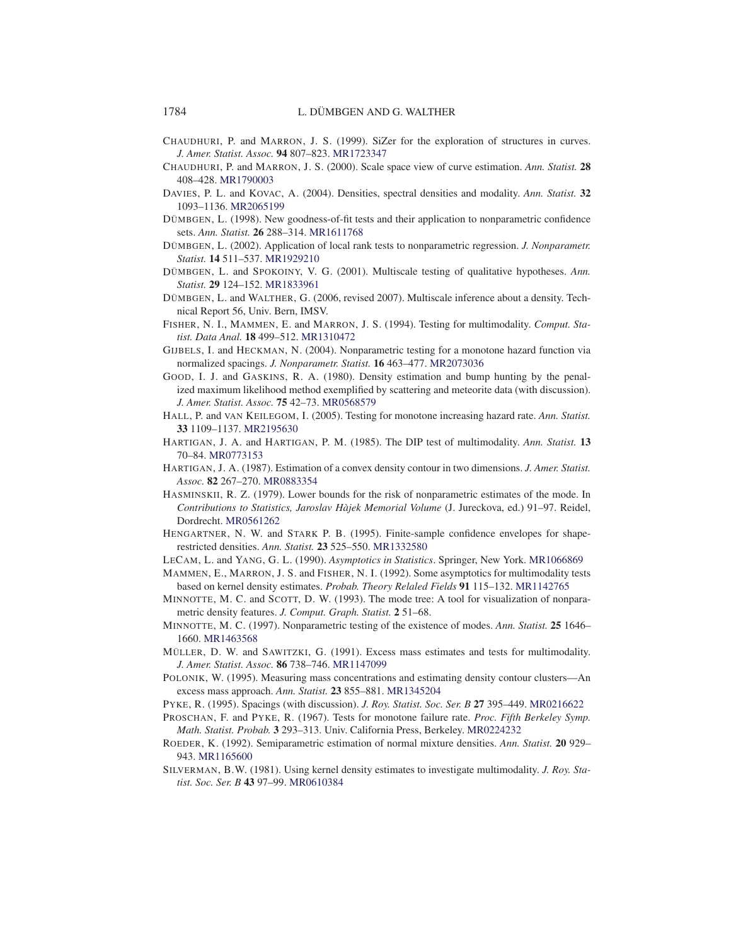- CHAUDHURI, P. and MARRON, J. S. (1999). SiZer for the exploration of structures in curves. *J. Amer. Statist. Assoc.* **94** 807–823. MR1723347
- CHAUDHURI, P. and MARRON, J. S. (2000). Scale space view of curve estimation. *Ann. Statist.* **28** 408–428. MR1790003
- DAVIES, P. L. and KOVAC, A. (2004). Densities, spectral densities and modality. *Ann. Statist.* **32** 1093–1136. MR2065199
- DÜMBGEN, L. (1998). New goodness-of-fit tests and their application to nonparametric confidence sets. *Ann. Statist.* **26** 288–314. MR1611768
- DÜMBGEN, L. (2002). Application of local rank tests to nonparametric regression. *J. Nonparametr. Statist.* **14** 511–537. MR1929210
- DÜMBGEN, L. and SPOKOINY, V. G. (2001). Multiscale testing of qualitative hypotheses. *Ann. Statist.* **29** 124–152. MR1833961
- DÜMBGEN, L. and WALTHER, G. (2006, revised 2007). Multiscale inference about a density. Technical Report 56, Univ. Bern, IMSV.
- FISHER, N. I., MAMMEN, E. and MARRON, J. S. (1994). Testing for multimodality. *Comput. Statist. Data Anal.* **18** 499–512. MR1310472
- GIJBELS, I. and HECKMAN, N. (2004). Nonparametric testing for a monotone hazard function via normalized spacings. *J. Nonparametr. Statist.* **16** 463–477. MR2073036
- GOOD, I. J. and GASKINS, R. A. (1980). Density estimation and bump hunting by the penalized maximum likelihood method exemplified by scattering and meteorite data (with discussion). *J. Amer. Statist. Assoc.* **75** 42–73. MR0568579
- HALL, P. and VAN KEILEGOM, I. (2005). Testing for monotone increasing hazard rate. *Ann. Statist.* **33** 1109–1137. MR2195630
- HARTIGAN, J. A. and HARTIGAN, P. M. (1985). The DIP test of multimodality. *Ann. Statist.* **13** 70–84. MR0773153
- HARTIGAN, J. A. (1987). Estimation of a convex density contour in two dimensions. *J. Amer. Statist. Assoc.* **82** 267–270. MR0883354
- HASMINSKII, R. Z. (1979). Lower bounds for the risk of nonparametric estimates of the mode. In *Contributions to Statistics, Jaroslav Hàjek Memorial Volume* (J. Jureckova, ed.) 91–97. Reidel, Dordrecht. MR0561262
- HENGARTNER, N. W. and STARK P. B. (1995). Finite-sample confidence envelopes for shaperestricted densities. *Ann. Statist.* **23** 525–550. MR1332580
- LECAM, L. and YANG, G. L. (1990). *Asymptotics in Statistics*. Springer, New York. MR1066869
- MAMMEN, E., MARRON, J. S. and FISHER, N. I. (1992). Some asymptotics for multimodality tests based on kernel density estimates. *Probab. Theory Relaled Fields* **91** 115–132. MR1142765
- MINNOTTE, M. C. and SCOTT, D. W. (1993). The mode tree: A tool for visualization of nonparametric density features. *J. Comput. Graph. Statist.* **2** 51–68.
- MINNOTTE, M. C. (1997). Nonparametric testing of the existence of modes. *Ann. Statist.* **25** 1646– 1660. MR1463568
- MÜLLER, D. W. and SAWITZKI, G. (1991). Excess mass estimates and tests for multimodality. *J. Amer. Statist. Assoc.* **86** 738–746. MR1147099
- POLONIK, W. (1995). Measuring mass concentrations and estimating density contour clusters—An excess mass approach. *Ann. Statist.* **23** 855–881. MR1345204
- PYKE, R. (1995). Spacings (with discussion). *J. Roy. Statist. Soc. Ser. B* **27** 395–449. MR0216622
- PROSCHAN, F. and PYKE, R. (1967). Tests for monotone failure rate. *Proc. Fifth Berkeley Symp. Math. Statist. Probab.* **3** 293–313. Univ. California Press, Berkeley. MR0224232
- ROEDER, K. (1992). Semiparametric estimation of normal mixture densities. *Ann. Statist.* **20** 929– 943. MR1165600
- SILVERMAN, B.W. (1981). Using kernel density estimates to investigate multimodality. *J. Roy. Statist. Soc. Ser. B* **43** 97–99. MR0610384